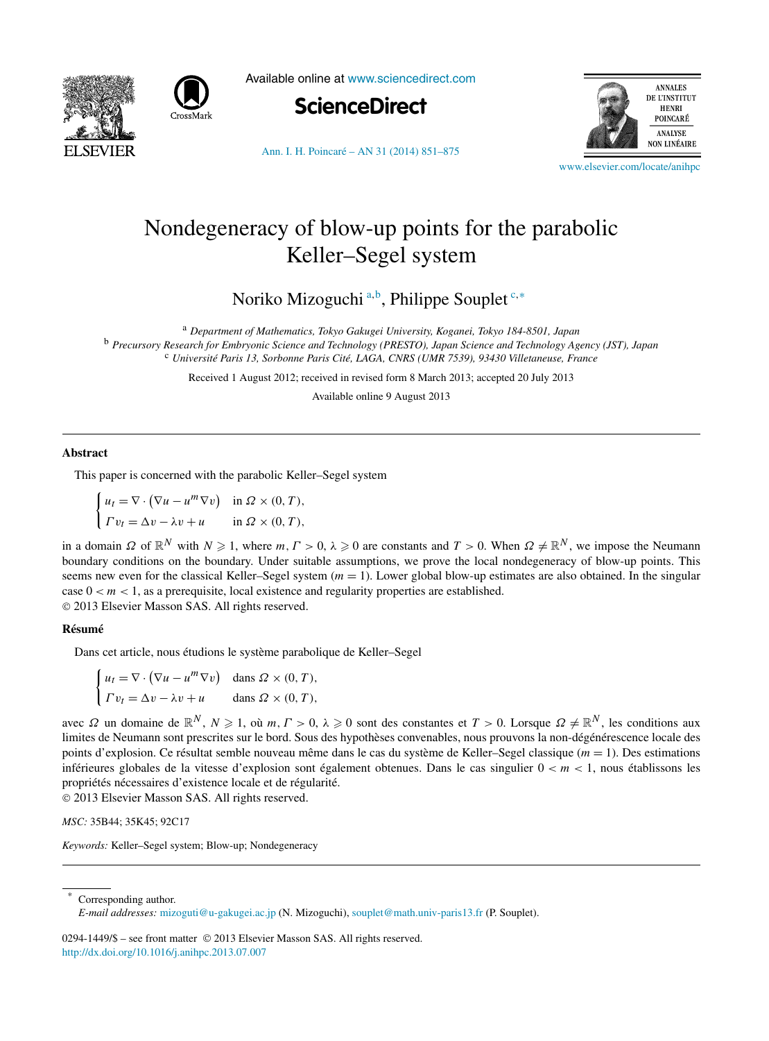



Available online at [www.sciencedirect.com](http://www.sciencedirect.com)





[Ann. I. H. Poincaré – AN 31 \(2014\) 851–875](http://dx.doi.org/10.1016/j.anihpc.2013.07.007)

[www.elsevier.com/locate/anihpc](http://www.elsevier.com/locate/anihpc)

# Nondegeneracy of blow-up points for the parabolic Keller–Segel system

Noriko Mizoguchi <sup>a</sup>*,*<sup>b</sup> , Philippe Souplet <sup>c</sup>*,*<sup>∗</sup>

<sup>a</sup> *Department of Mathematics, Tokyo Gakugei University, Koganei, Tokyo 184-8501, Japan* <sup>b</sup> *Precursory Research for Embryonic Science and Technology (PRESTO), Japan Science and Technology Agency (JST), Japan* <sup>c</sup> *Université Paris 13, Sorbonne Paris Cité, LAGA, CNRS (UMR 7539), 93430 Villetaneuse, France*

Received 1 August 2012; received in revised form 8 March 2013; accepted 20 July 2013

Available online 9 August 2013

## **Abstract**

This paper is concerned with the parabolic Keller–Segel system

 $\int u_t = \nabla \cdot (\nabla u - u^m \nabla v)$  in  $\Omega \times (0, T)$ ,  $\Gamma v_t = \Delta v - \lambda v + u$  in  $\Omega \times (0, T)$ ,

in a domain  $\Omega$  of  $\mathbb{R}^N$  with  $N \geq 1$ , where  $m, \Gamma > 0$ ,  $\lambda \geq 0$  are constants and  $T > 0$ . When  $\Omega \neq \mathbb{R}^N$ , we impose the Neumann boundary conditions on the boundary. Under suitable assumptions, we prove the local nondegeneracy of blow-up points. This seems new even for the classical Keller–Segel system  $(m = 1)$ . Lower global blow-up estimates are also obtained. In the singular case  $0 < m < 1$ , as a prerequisite, local existence and regularity properties are established. © 2013 Elsevier Masson SAS. All rights reserved.

#### **Résumé**

Dans cet article, nous étudions le système parabolique de Keller–Segel

$$
\begin{cases} u_t = \nabla \cdot (\nabla u - u^m \nabla v) & \text{dans } \Omega \times (0, T), \\ \Gamma v_t = \Delta v - \lambda v + u & \text{dans } \Omega \times (0, T), \end{cases}
$$

avec  $\Omega$  un domaine de  $\mathbb{R}^N$ ,  $N \geq 1$ , où  $m, \Gamma > 0$ ,  $\lambda \geq 0$  sont des constantes et  $T > 0$ . Lorsque  $\Omega \neq \mathbb{R}^N$ , les conditions aux limites de Neumann sont prescrites sur le bord. Sous des hypothèses convenables, nous prouvons la non-dégénérescence locale des points d'explosion. Ce résultat semble nouveau même dans le cas du système de Keller–Segel classique (*m* = 1). Des estimations inférieures globales de la vitesse d'explosion sont également obtenues. Dans le cas singulier  $0 < m < 1$ , nous établissons les propriétés nécessaires d'existence locale et de régularité.

© 2013 Elsevier Masson SAS. All rights reserved.

*MSC:* 35B44; 35K45; 92C17

*Keywords:* Keller–Segel system; Blow-up; Nondegeneracy

Corresponding author.

0294-1449/\$ – see front matter © 2013 Elsevier Masson SAS. All rights reserved. <http://dx.doi.org/10.1016/j.anihpc.2013.07.007>

*E-mail addresses:* [mizoguti@u-gakugei.ac.jp](mailto:mizoguti@u-gakugei.ac.jp) (N. Mizoguchi), [souplet@math.univ-paris13.fr](mailto:souplet@math.univ-paris13.fr) (P. Souplet).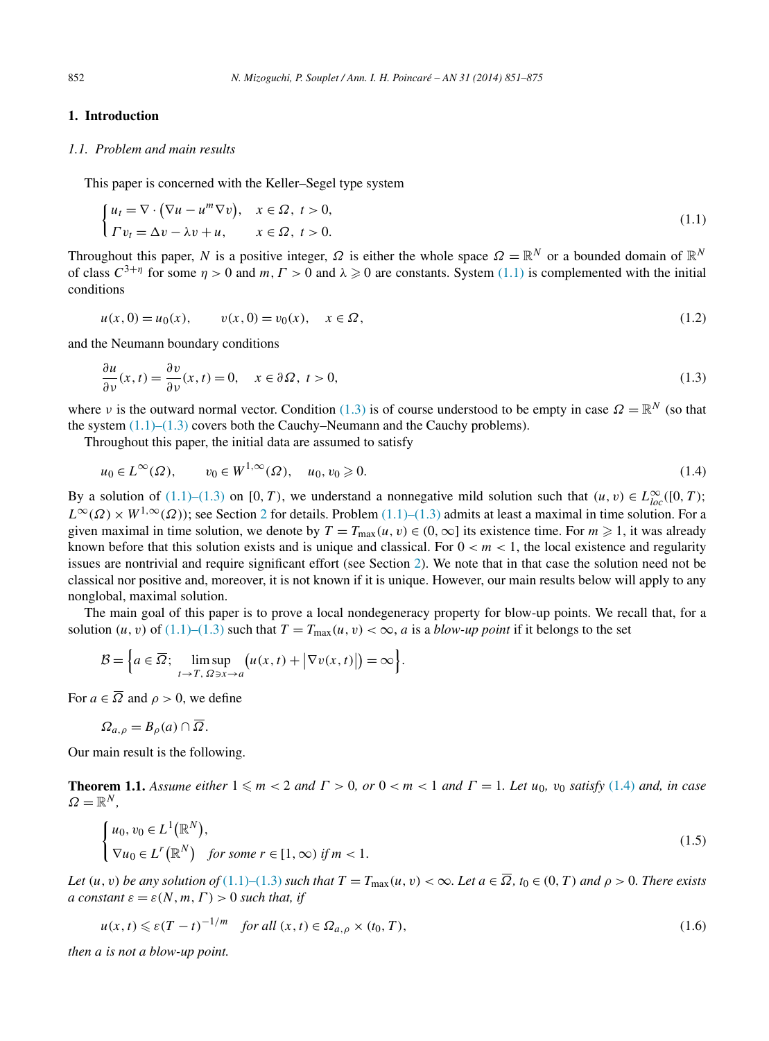# <span id="page-1-0"></span>**1. Introduction**

## *1.1. Problem and main results*

This paper is concerned with the Keller–Segel type system

$$
\begin{cases} u_t = \nabla \cdot (\nabla u - u^m \nabla v), & x \in \Omega, \ t > 0, \\ \Gamma v_t = \Delta v - \lambda v + u, & x \in \Omega, \ t > 0. \end{cases}
$$
\n(1.1)

Throughout this paper, *N* is a positive integer,  $\Omega$  is either the whole space  $\Omega = \mathbb{R}^N$  or a bounded domain of  $\mathbb{R}^N$ of class  $C^{3+\eta}$  for some  $\eta > 0$  and  $m, \Gamma > 0$  and  $\lambda \geq 0$  are constants. System (1.1) is complemented with the initial conditions

$$
u(x, 0) = u_0(x), \qquad v(x, 0) = v_0(x), \quad x \in \Omega,
$$
\n(1.2)

and the Neumann boundary conditions

$$
\frac{\partial u}{\partial \nu}(x,t) = \frac{\partial v}{\partial \nu}(x,t) = 0, \quad x \in \partial \Omega, \ t > 0,
$$
\n(1.3)

where *ν* is the outward normal vector. Condition (1.3) is of course understood to be empty in case  $\Omega = \mathbb{R}^N$  (so that the system  $(1.1)$ – $(1.3)$  covers both the Cauchy–Neumann and the Cauchy problems).

Throughout this paper, the initial data are assumed to satisfy

$$
u_0 \in L^{\infty}(\Omega), \qquad v_0 \in W^{1,\infty}(\Omega), \quad u_0, v_0 \geqslant 0. \tag{1.4}
$$

By a solution of  $(1.1)$ – $(1.3)$  on  $[0, T)$ , we understand a nonnegative mild solution such that  $(u, v) \in L^{\infty}_{loc}([0, T);$  $L^{\infty}(\Omega) \times W^{1,\infty}(\Omega)$ ; see Section [2](#page-4-0) for details. Problem (1.1)–(1.3) admits at least a maximal in time solution. For a given maximal in time solution, we denote by  $T = T_{\text{max}}(u, v) \in (0, \infty]$  its existence time. For  $m \ge 1$ , it was already known before that this solution exists and is unique and classical. For  $0 < m < 1$ , the local existence and regularity issues are nontrivial and require significant effort (see Section [2\)](#page-4-0). We note that in that case the solution need not be classical nor positive and, moreover, it is not known if it is unique. However, our main results below will apply to any nonglobal, maximal solution.

The main goal of this paper is to prove a local nondegeneracy property for blow-up points. We recall that, for a solution  $(u, v)$  of  $(1.1)$ – $(1.3)$  such that  $T = T_{\text{max}}(u, v) < \infty$ , *a* is a *blow-up point* if it belongs to the set

$$
\mathcal{B} = \Big\{ a \in \overline{\Omega}; \limsup_{t \to T, \ \Omega \ni x \to a} \big( u(x, t) + \big| \nabla v(x, t) \big| \big) = \infty \Big\}.
$$

For  $a \in \overline{\Omega}$  and  $\rho > 0$ , we define

$$
\Omega_{a,\rho} = B_{\rho}(a) \cap \overline{\Omega}.
$$

Our main result is the following.

**Theorem 1.1.** *Assume either*  $1 \le m < 2$  *and*  $\Gamma > 0$ *, or*  $0 < m < 1$  *and*  $\Gamma = 1$ *. Let*  $u_0$ *,*  $v_0$  *satisfy* (1.4) *and, in case*  $\Omega = \mathbb{R}^N$ .

$$
\begin{cases} u_0, v_0 \in L^1(\mathbb{R}^N), \\ \nabla u_0 \in L^r(\mathbb{R}^N) \quad \text{for some } r \in [1, \infty) \text{ if } m < 1. \end{cases} \tag{1.5}
$$

Let  $(u, v)$  be any solution of  $(1.1)$ – $(1.3)$  such that  $T = T_{\text{max}}(u, v) < \infty$ . Let  $a \in \overline{\Omega}$ ,  $t_0 \in (0, T)$  and  $\rho > 0$ . There exists *a constant*  $\varepsilon = \varepsilon(N, m, \Gamma) > 0$  *such that, if* 

$$
u(x,t) \leqslant \varepsilon (T-t)^{-1/m} \quad \text{for all } (x,t) \in \Omega_{a,\rho} \times (t_0, T), \tag{1.6}
$$

*then a is not a blow-up point.*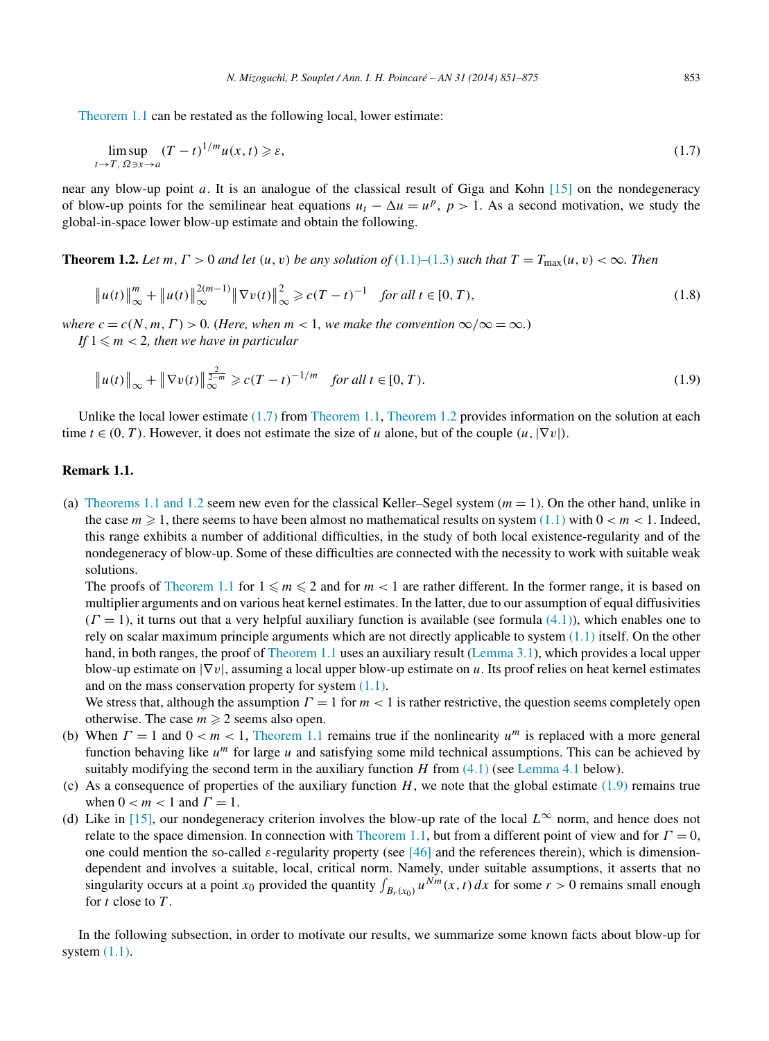<span id="page-2-0"></span>[Theorem 1.1](#page-1-0) can be restated as the following local, lower estimate:

$$
\limsup_{t \to T, \ \Omega \ni x \to a} (T - t)^{1/m} u(x, t) \ge \varepsilon,\tag{1.7}
$$

near any blow-up point *a*. It is an analogue of the classical result of Giga and Kohn [\[15\]](#page-23-0) on the nondegeneracy of blow-up points for the semilinear heat equations  $u_t - \Delta u = u^p$ ,  $p > 1$ . As a second motivation, we study the global-in-space lower blow-up estimate and obtain the following.

**Theorem 1.2.** Let  $m, \Gamma > 0$  and let  $(u, v)$  be any solution of  $(1.1)$ – $(1.3)$  such that  $T = T_{\text{max}}(u, v) < \infty$ . Then

$$
\|u(t)\|_{\infty}^{m} + \|u(t)\|_{\infty}^{2(m-1)} \|\nabla v(t)\|_{\infty}^{2} \geq c(T-t)^{-1} \quad \text{for all } t \in [0, T),
$$
\n(1.8)

*where*  $c = c(N, m, \Gamma) > 0$ . (*Here, when*  $m < 1$ *, we make the convention*  $\infty / \infty = \infty$ *.*) *If*  $1 \le m < 2$ *, then we have in particular* 

$$
\|u(t)\|_{\infty} + \|\nabla v(t)\|_{\infty}^{\frac{2}{2-m}} \ge c(T-t)^{-1/m} \quad \text{for all } t \in [0, T). \tag{1.9}
$$

Unlike the local lower estimate (1.7) from [Theorem 1.1,](#page-1-0) Theorem 1.2 provides information on the solution at each time  $t \in (0, T)$ . However, it does not estimate the size of *u* alone, but of the couple  $(u, |\nabla v|)$ .

# **Remark 1.1.**

(a) Theorems [1.1 and 1.2](#page-1-0) seem new even for the classical Keller–Segel system  $(m = 1)$ . On the other hand, unlike in the case  $m \geq 1$ , there seems to have been almost no mathematical results on system  $(1.1)$  with  $0 < m < 1$ . Indeed, this range exhibits a number of additional difficulties, in the study of both local existence-regularity and of the nondegeneracy of blow-up. Some of these difficulties are connected with the necessity to work with suitable weak solutions.

The proofs of [Theorem](#page-1-0) 1.1 for  $1 \le m \le 2$  and for  $m < 1$  are rather different. In the former range, it is based on multiplier arguments and on various heat kernel estimates. In the latter, due to our assumption of equal diffusivities  $(\Gamma = 1)$ , it turns out that a very helpful auxiliary function is available (see formula [\(4.1\)\)](#page-17-0), which enables one to rely on scalar maximum principle arguments which are not directly applicable to system  $(1.1)$  itself. On the other hand, in both ranges, the proof of [Theorem 1.1](#page-1-0) uses an auxiliary result [\(Lemma 3.1\)](#page-10-0), which provides a local upper blow-up estimate on |∇*v*|, assuming a local upper blow-up estimate on *u*. Its proof relies on heat kernel estimates and on the mass conservation property for system  $(1.1)$ .

We stress that, although the assumption  $\Gamma = 1$  for  $m < 1$  is rather restrictive, the question seems completely open otherwise. The case  $m \geq 2$  seems also open.

- (b) When  $\Gamma = 1$  and  $0 < m < 1$ , [Theorem 1.1](#page-1-0) remains true if the nonlinearity  $u^m$  is replaced with a more general function behaving like *um* for large *u* and satisfying some mild technical assumptions. This can be achieved by suitably modifying the second term in the auxiliary function  $H$  from  $(4.1)$  (see [Lemma 4.1](#page-17-0) below).
- (c) As a consequence of properties of the auxiliary function  $H$ , we note that the global estimate (1.9) remains true when  $0 < m < 1$  and  $\Gamma = 1$ .
- (d) Like in [\[15\],](#page-23-0) our nondegeneracy criterion involves the blow-up rate of the local *L*<sup>∞</sup> norm, and hence does not relate to the space dimension. In connection with [Theorem 1.1,](#page-1-0) but from a different point of view and for *Γ* = 0, one could mention the so-called *ε*-regularity property (see [\[46\]](#page-24-0) and the references therein), which is dimensiondependent and involves a suitable, local, critical norm. Namely, under suitable assumptions, it asserts that no singularity occurs at a point  $x_0$  provided the quantity  $\int_{B_r(x_0)} u^{Nm}(x, t) dx$  for some  $r > 0$  remains small enough for *t* close to *T* .

In the following subsection, in order to motivate our results, we summarize some known facts about blow-up for system  $(1.1)$ .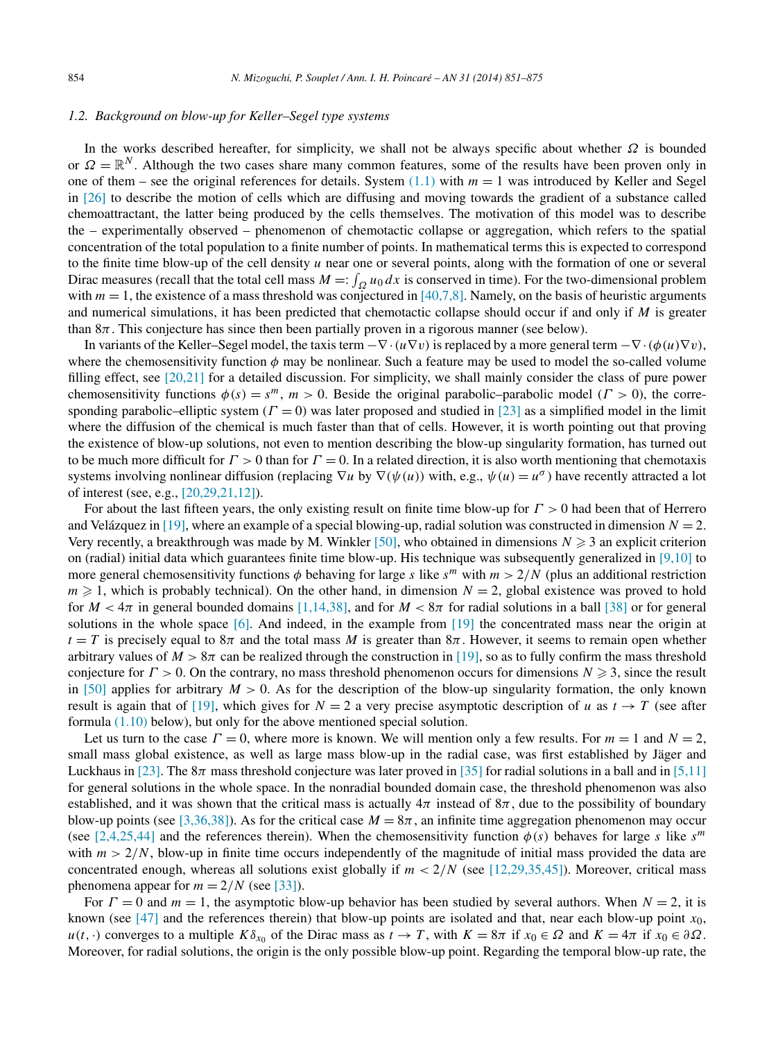#### *1.2. Background on blow-up for Keller–Segel type systems*

In the works described hereafter, for simplicity, we shall not be always specific about whether *Ω* is bounded or  $\Omega = \mathbb{R}^N$ . Although the two cases share many common features, some of the results have been proven only in one of them – see the original references for details. System  $(1.1)$  with  $m = 1$  was introduced by Keller and Segel in [\[26\]](#page-23-0) to describe the motion of cells which are diffusing and moving towards the gradient of a substance called chemoattractant, the latter being produced by the cells themselves. The motivation of this model was to describe the – experimentally observed – phenomenon of chemotactic collapse or aggregation, which refers to the spatial concentration of the total population to a finite number of points. In mathematical terms this is expected to correspond to the finite time blow-up of the cell density *u* near one or several points, along with the formation of one or several Dirac measures (recall that the total cell mass  $M =: \int_{\Omega} u_0 dx$  is conserved in time). For the two-dimensional problem with  $m = 1$ , the existence of a mass threshold was conjectured in [\[40,7,8\].](#page-24-0) Namely, on the basis of heuristic arguments and numerical simulations, it has been predicted that chemotactic collapse should occur if and only if *M* is greater than 8*π*. This conjecture has since then been partially proven in a rigorous manner (see below).

In variants of the Keller–Segel model, the taxis term  $-\nabla \cdot (u \nabla v)$  is replaced by a more general term  $-\nabla \cdot (\phi(u) \nabla v)$ , where the chemosensitivity function  $\phi$  may be nonlinear. Such a feature may be used to model the so-called volume filling effect, see [\[20,21\]](#page-23-0) for a detailed discussion. For simplicity, we shall mainly consider the class of pure power chemosensitivity functions  $\phi(s) = s^m$ ,  $m > 0$ . Beside the original parabolic–parabolic model ( $\Gamma > 0$ ), the corresponding parabolic–elliptic system  $(\Gamma = 0)$  was later proposed and studied in [\[23\]](#page-23-0) as a simplified model in the limit where the diffusion of the chemical is much faster than that of cells. However, it is worth pointing out that proving the existence of blow-up solutions, not even to mention describing the blow-up singularity formation, has turned out to be much more difficult for  $\Gamma > 0$  than for  $\Gamma = 0$ . In a related direction, it is also worth mentioning that chemotaxis systems involving nonlinear diffusion (replacing  $\nabla u$  by  $\nabla(\psi(u))$  with, e.g.,  $\psi(u) = u^{\sigma}$ ) have recently attracted a lot of interest (see, e.g., [\[20,29,21,12\]\)](#page-23-0).

For about the last fifteen years, the only existing result on finite time blow-up for *Γ >* 0 had been that of Herrero and Velázquez in [\[19\],](#page-23-0) where an example of a special blowing-up, radial solution was constructed in dimension  $N = 2$ . Very recently, a breakthrough was made by M. Winkler  $[50]$ , who obtained in dimensions  $N \geq 3$  an explicit criterion on (radial) initial data which guarantees finite time blow-up. His technique was subsequently generalized in  $[9,10]$  to more general chemosensitivity functions  $\phi$  behaving for large *s* like  $s^m$  with  $m > 2/N$  (plus an additional restriction  $m \geq 1$ , which is probably technical). On the other hand, in dimension  $N = 2$ , global existence was proved to hold for  $M < 4\pi$  in general bounded domains [\[1,14,38\],](#page-23-0) and for  $M < 8\pi$  for radial solutions in a ball [\[38\]](#page-23-0) or for general solutions in the whole space [\[6\].](#page-23-0) And indeed, in the example from [\[19\]](#page-23-0) the concentrated mass near the origin at  $t = T$  is precisely equal to  $8\pi$  and the total mass *M* is greater than  $8\pi$ . However, it seems to remain open whether arbitrary values of  $M > 8\pi$  can be realized through the construction in [\[19\],](#page-23-0) so as to fully confirm the mass threshold conjecture for  $\Gamma > 0$ . On the contrary, no mass threshold phenomenon occurs for dimensions  $N \geq 3$ , since the result in [\[50\]](#page-24-0) applies for arbitrary  $M > 0$ . As for the description of the blow-up singularity formation, the only known result is again that of [\[19\],](#page-23-0) which gives for  $N = 2$  a very precise asymptotic description of *u* as  $t \to T$  (see after formula [\(1.10\)](#page-4-0) below), but only for the above mentioned special solution.

Let us turn to the case  $\Gamma = 0$ , where more is known. We will mention only a few results. For  $m = 1$  and  $N = 2$ , small mass global existence, as well as large mass blow-up in the radial case, was first established by Jäger and Luckhaus in [\[23\].](#page-23-0) The  $8\pi$  mass threshold conjecture was later proved in [\[35\]](#page-23-0) for radial solutions in a ball and in [\[5,11\]](#page-23-0) for general solutions in the whole space. In the nonradial bounded domain case, the threshold phenomenon was also established, and it was shown that the critical mass is actually  $4\pi$  instead of  $8\pi$ , due to the possibility of boundary blow-up points (see [\[3,36,38\]\)](#page-23-0). As for the critical case  $M = 8\pi$ , an infinite time aggregation phenomenon may occur (see [\[2,4,25,44\]](#page-23-0) and the references therein). When the chemosensitivity function  $\phi(s)$  behaves for large *s* like  $s^m$ with  $m > 2/N$ , blow-up in finite time occurs independently of the magnitude of initial mass provided the data are concentrated enough, whereas all solutions exist globally if  $m < 2/N$  (see [\[12,29,35,45\]\)](#page-23-0). Moreover, critical mass phenomena appear for  $m = 2/N$  (see [\[33\]\)](#page-23-0).

For *Γ* = 0 and *m* = 1, the asymptotic blow-up behavior has been studied by several authors. When *N* = 2, it is known (see [\[47\]](#page-24-0) and the references therein) that blow-up points are isolated and that, near each blow-up point  $x_0$ ,  $u(t, \cdot)$  converges to a multiple  $K\delta_{x_0}$  of the Dirac mass as  $t \to T$ , with  $K = 8\pi$  if  $x_0 \in \Omega$  and  $K = 4\pi$  if  $x_0 \in \partial\Omega$ . Moreover, for radial solutions, the origin is the only possible blow-up point. Regarding the temporal blow-up rate, the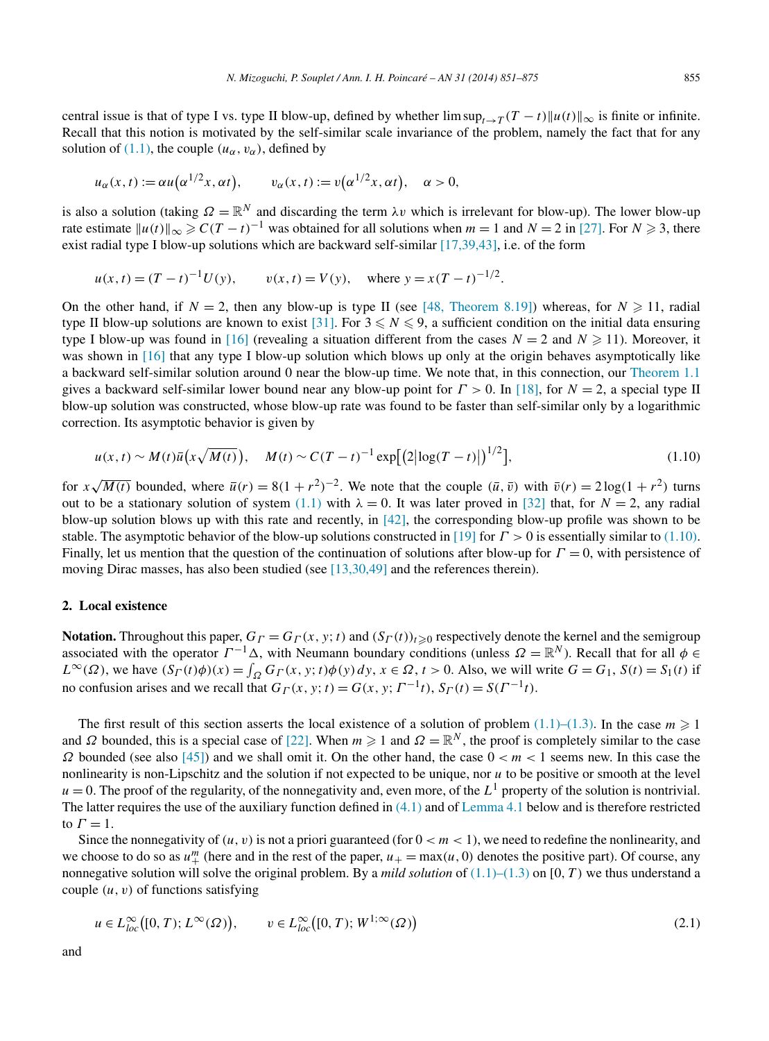<span id="page-4-0"></span>central issue is that of type I vs. type II blow-up, defined by whether  $\limsup_{t\to T}(T-t)\|u(t)\|_{\infty}$  is finite or infinite. Recall that this notion is motivated by the self-similar scale invariance of the problem, namely the fact that for any solution of [\(1.1\),](#page-1-0) the couple  $(u_\alpha, v_\alpha)$ , defined by

$$
u_{\alpha}(x,t) := \alpha u(\alpha^{1/2}x,\alpha t), \qquad v_{\alpha}(x,t) := v(\alpha^{1/2}x,\alpha t), \quad \alpha > 0,
$$

is also a solution (taking  $\Omega = \mathbb{R}^N$  and discarding the term  $\lambda v$  which is irrelevant for blow-up). The lower blow-up rate estimate  $||u(t)||_{\infty} \geqslant C(T-t)^{-1}$  was obtained for all solutions when  $m = 1$  and  $N = 2$  in [\[27\].](#page-23-0) For  $N \geqslant 3$ , there exist radial type I blow-up solutions which are backward self-similar [\[17,39,43\],](#page-23-0) i.e. of the form

$$
u(x, t) = (T - t)^{-1}U(y)
$$
,  $v(x, t) = V(y)$ , where  $y = x(T - t)^{-1/2}$ .

On the other hand, if  $N = 2$ , then any blow-up is type II (see [\[48, Theorem 8.19\]\)](#page-24-0) whereas, for  $N \ge 11$ , radial type II blow-up solutions are known to exist [\[31\].](#page-23-0) For  $3 \leq N \leq 9$ , a sufficient condition on the initial data ensuring type I blow-up was found in [\[16\]](#page-23-0) (revealing a situation different from the cases  $N = 2$  and  $N \ge 11$ ). Moreover, it was shown in [\[16\]](#page-23-0) that any type I blow-up solution which blows up only at the origin behaves asymptotically like a backward self-similar solution around 0 near the blow-up time. We note that, in this connection, our [Theorem 1.1](#page-1-0) gives a backward self-similar lower bound near any blow-up point for *Γ >* 0. In [\[18\],](#page-23-0) for *N* = 2, a special type II blow-up solution was constructed, whose blow-up rate was found to be faster than self-similar only by a logarithmic correction. Its asymptotic behavior is given by

$$
u(x,t) \sim M(t)\bar{u}\left(x\sqrt{M(t)}\right), \quad M(t) \sim C(T-t)^{-1}\exp\left[\left(2\left|\log(T-t)\right|\right)^{1/2}\right],\tag{1.10}
$$

for  $x\sqrt{M(t)}$  bounded, where  $\bar{u}(r) = 8(1 + r^2)^{-2}$ . We note that the couple  $(\bar{u}, \bar{v})$  with  $\bar{v}(r) = 2\log(1 + r^2)$  turns out to be a stationary solution of system [\(1.1\)](#page-1-0) with  $\lambda = 0$ . It was later proved in [\[32\]](#page-23-0) that, for  $N = 2$ , any radial blow-up solution blows up with this rate and recently, in  $[42]$ , the corresponding blow-up profile was shown to be stable. The asymptotic behavior of the blow-up solutions constructed in [\[19\]](#page-23-0) for *Γ >* 0 is essentially similar to (1.10). Finally, let us mention that the question of the continuation of solutions after blow-up for *Γ* = 0, with persistence of moving Dirac masses, has also been studied (see [\[13,30,49\]](#page-23-0) and the references therein).

# **2. Local existence**

**Notation.** Throughout this paper,  $G_\Gamma = G_\Gamma(x, y; t)$  and  $(S_\Gamma(t))_{t \geq 0}$  respectively denote the kernel and the semigroup associated with the operator  $\Gamma^{-1}\Delta$ , with Neumann boundary conditions (unless  $\Omega = \mathbb{R}^N$ ). Recall that for all  $\phi \in \mathbb{R}^N$  $L^{\infty}(\Omega)$ , we have  $(S_{\Gamma}(t)\phi)(x) = \int_{\Omega} G_{\Gamma}(x, y; t)\phi(y) dy$ ,  $x \in \Omega$ ,  $t > 0$ . Also, we will write  $G = G_1$ ,  $S(t) = S_1(t)$  if no confusion arises and we recall that  $G_F(x, y; t) = G(x, y; \Gamma^{-1}t)$ ,  $S_F(t) = S(\Gamma^{-1}t)$ .

The first result of this section asserts the local existence of a solution of problem  $(1.1)$ – $(1.3)$ . In the case  $m \ge 1$ and  $\Omega$  bounded, this is a special case of [\[22\].](#page-23-0) When  $m \ge 1$  and  $\Omega = \mathbb{R}^N$ , the proof is completely similar to the case  $Ω$  bounded (see also [\[45\]\)](#page-24-0) and we shall omit it. On the other hand, the case  $0 < m < 1$  seems new. In this case the nonlinearity is non-Lipschitz and the solution if not expected to be unique, nor *u* to be positive or smooth at the level  $u = 0$ . The proof of the regularity, of the nonnegativity and, even more, of the  $L<sup>1</sup>$  property of the solution is nontrivial. The latter requires the use of the auxiliary function defined in  $(4.1)$  and of [Lemma 4.1](#page-17-0) below and is therefore restricted to  $\Gamma = 1$ .

Since the nonnegativity of  $(u, v)$  is not a priori guaranteed (for  $0 < m < 1$ ), we need to redefine the nonlinearity, and we choose to do so as  $u^m_+$  (here and in the rest of the paper,  $u_+ = \max(u, 0)$  denotes the positive part). Of course, any nonnegative solution will solve the original problem. By a *mild solution* of [\(1.1\)–\(1.3\)](#page-1-0) on [0*,T)* we thus understand a couple  $(u, v)$  of functions satisfying

$$
u \in L_{loc}^{\infty}([0, T); L^{\infty}(\Omega)), \qquad v \in L_{loc}^{\infty}([0, T); W^{1; \infty}(\Omega))
$$
\n
$$
(2.1)
$$

and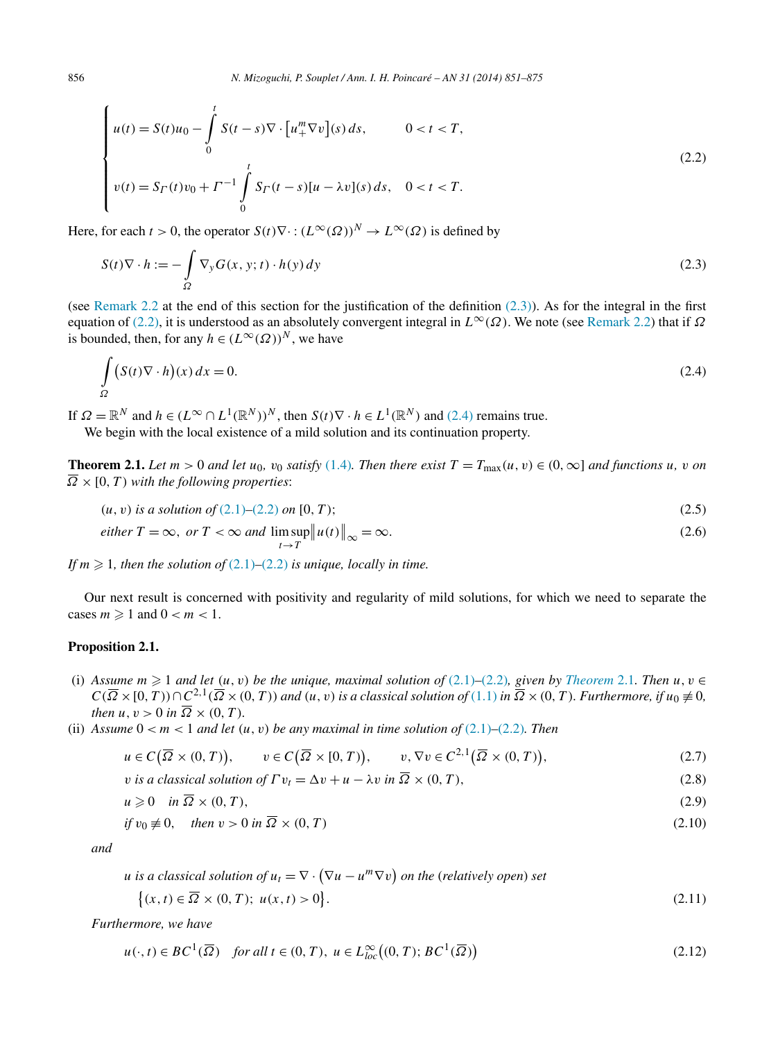<span id="page-5-0"></span>
$$
\begin{cases}\n u(t) = S(t)u_0 - \int_0^t S(t-s)\nabla \cdot \left[ u_+^m \nabla v \right](s) ds, & 0 < t < T, \\
 v(t) = S_\Gamma(t)v_0 + \Gamma^{-1} \int_0^t S_\Gamma(t-s)[u - \lambda v](s) ds, & 0 < t < T.\n\end{cases}
$$
\n(2.2)

Here, for each  $t > 0$ , the operator  $S(t)\nabla \cdot : (L^{\infty}(\Omega))^N \to L^{\infty}(\Omega)$  is defined by

$$
S(t)\nabla \cdot h := -\int_{\Omega} \nabla_{\mathbf{y}} G(x, \mathbf{y}; t) \cdot h(\mathbf{y}) \, d\mathbf{y}
$$
\n
$$
(2.3)
$$

(see [Remark 2.2](#page-10-0) at the end of this section for the justification of the definition  $(2.3)$ ). As for the integral in the first equation of (2.2), it is understood as an absolutely convergent integral in  $L^{\infty}(\Omega)$ . We note (see [Remark 2.2\)](#page-10-0) that if  $\Omega$ is bounded, then, for any  $h \in (L^{\infty}(\Omega))^N$ , we have

$$
\int_{\Omega} (S(t)\nabla \cdot h)(x) dx = 0.
$$
\n(2.4)

If  $\Omega = \mathbb{R}^N$  and  $h \in (L^\infty \cap L^1(\mathbb{R}^N))^N$ , then  $S(t) \nabla \cdot h \in L^1(\mathbb{R}^N)$  and (2.4) remains true. We begin with the local existence of a mild solution and its continuation property.

**Theorem 2.1.** Let  $m > 0$  and let  $u_0$ ,  $v_0$  satisfy [\(1.4\)](#page-1-0). Then there exist  $T = T_{\text{max}}(u, v) \in (0, \infty]$  and functions u, v on  $\overline{\Omega}$  × [0, *T*) *with the following properties*:

$$
(u, v) \text{ is a solution of } (2.1) - (2.2) \text{ on } [0, T); \tag{2.5}
$$

*either* 
$$
T = \infty
$$
, *or*  $T < \infty$  *and*  $\limsup_{t \to T} ||u(t)||_{\infty} = \infty$ . (2.6)

If  $m \geq 1$ , then the solution of  $(2.1)$ – $(2.2)$  *is unique, locally in time.* 

Our next result is concerned with positivity and regularity of mild solutions, for which we need to separate the cases  $m \geqslant 1$  and  $0 < m < 1$ .

# **Proposition 2.1.**

- (i) Assume  $m \geq 1$  and let  $(u, v)$  be the unique, maximal solution of  $(2.1)$ – $(2.2)$ , given by *Theorem* 2.1*. Then*  $u, v \in$  $C(\overline{\Omega}\times[0,T))\cap C^{2,1}(\overline{\Omega}\times(0,T))$  and  $(u,v)$  is a classical solution of  $(1.1)$  in  $\overline{\Omega}\times(0,T)$ . Furthermore, if  $u_0\neq 0$ , *then*  $u, v > 0$  *in*  $\overline{\Omega} \times (0, T)$ *.*
- (ii) Assume  $0 < m < 1$  and let  $(u, v)$  be any maximal in time solution of  $(2.1)$ – $(2.2)$ *. Then*

$$
u \in C\big(\overline{\Omega} \times (0, T)\big), \qquad v \in C\big(\overline{\Omega} \times [0, T)\big), \qquad v, \nabla v \in C^{2,1}\big(\overline{\Omega} \times (0, T)\big), \tag{2.7}
$$

*v is a classical solution of*  $\Gamma v_t = \Delta v + u - \lambda v$  *in*  $\overline{\Omega} \times (0, T)$ , (2.8)

$$
u \geqslant 0 \quad \text{in } \overline{\Omega} \times (0, T), \tag{2.9}
$$

if 
$$
v_0 \neq 0
$$
, then  $v > 0$  in  $\overline{\Omega} \times (0, T)$  
$$
(2.10)
$$

*and*

*u* is a classical solution of  $u_t = \nabla \cdot (\nabla u - u^m \nabla v)$  on the (relatively open) set

$$
\{(x,t)\in\overline{\Omega}\times(0,T);\ u(x,t)>0\}.\tag{2.11}
$$

*Furthermore, we have*

$$
u(\cdot, t) \in BC^1(\overline{\Omega}) \quad \text{for all } t \in (0, T), \ u \in L_{loc}^{\infty}((0, T); BC^1(\overline{\Omega})) \tag{2.12}
$$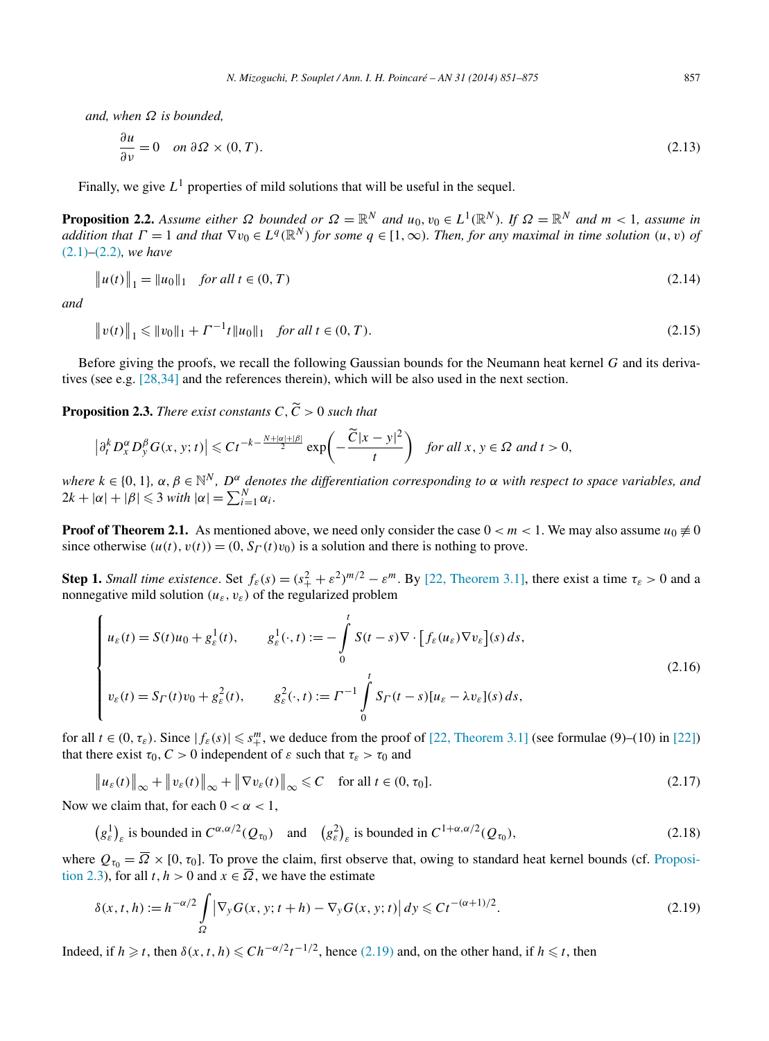<span id="page-6-0"></span>*and, when Ω is bounded,*

$$
\frac{\partial u}{\partial \nu} = 0 \quad on \ \partial \Omega \times (0, T). \tag{2.13}
$$

Finally, we give  $L^1$  properties of mild solutions that will be useful in the sequel.

**Proposition 2.2.** Assume either  $\Omega$  bounded or  $\Omega = \mathbb{R}^N$  and  $u_0, v_0 \in L^1(\mathbb{R}^N)$ . If  $\Omega = \mathbb{R}^N$  and  $m < 1$ , assume in *addition that*  $\Gamma = 1$  *and that*  $\nabla v_0 \in L^q(\mathbb{R}^N)$  *for some*  $q \in [1, \infty)$ *. Then, for any maximal in time solution*  $(u, v)$  *of* [\(2.1\)](#page-4-0)*–*[\(2.2\)](#page-5-0)*, we have*

$$
\|u(t)\|_1 = \|u_0\|_1 \quad \text{for all } t \in (0, T)
$$
\n(2.14)

*and*

$$
\|v(t)\|_1 \le \|v_0\|_1 + \Gamma^{-1}t\|u_0\|_1 \quad \text{for all } t \in (0, T). \tag{2.15}
$$

Before giving the proofs, we recall the following Gaussian bounds for the Neumann heat kernel *G* and its derivatives (see e.g. [\[28,34\]](#page-23-0) and the references therein), which will be also used in the next section.

**Proposition 2.3.** *There exist constants*  $C, \widetilde{C} > 0$  *such that* 

$$
\left|\partial_t^k D_x^{\alpha} D_y^{\beta} G(x, y; t)\right| \leqslant C t^{-k - \frac{N + |\alpha| + |\beta|}{2}} \exp\left(-\frac{\widetilde{C}|x - y|^2}{t}\right) \quad \text{for all } x, y \in \Omega \text{ and } t > 0,
$$

*where*  $k \in \{0, 1\}$ ,  $\alpha, \beta \in \mathbb{N}^N$ ,  $D^{\alpha}$  *denotes the differentiation corresponding to*  $\alpha$  *with respect to space variables, and*  $2k + |\alpha| + |\beta| \leq 3$  *with*  $|\alpha| = \sum_{i=1}^{N} \alpha_i$ .

**Proof of Theorem 2.1.** As mentioned above, we need only consider the case  $0 < m < 1$ . We may also assume  $u_0 \neq 0$ since otherwise  $(u(t), v(t)) = (0, S<sub>\Gamma</sub>(t)v<sub>0</sub>)$  is a solution and there is nothing to prove.

**Step 1.** *Small time existence*. Set  $f_{\varepsilon}(s) = (s_+^2 + \varepsilon^2)^{m/2} - \varepsilon^m$ . By [\[22, Theorem 3.1\],](#page-23-0) there exist a time  $\tau_{\varepsilon} > 0$  and a nonnegative mild solution  $(u_{\varepsilon}, v_{\varepsilon})$  of the regularized problem

$$
\begin{cases}\nu_{\varepsilon}(t) = S(t)u_0 + g_{\varepsilon}^1(t), & g_{\varepsilon}^1(\cdot, t) := -\int_0^t S(t - s)\nabla \cdot [f_{\varepsilon}(u_{\varepsilon})\nabla v_{\varepsilon}](s) ds, \\
v_{\varepsilon}(t) = S_{\Gamma}(t)v_0 + g_{\varepsilon}^2(t), & g_{\varepsilon}^2(\cdot, t) := \Gamma^{-1} \int_0^t S_{\Gamma}(t - s)[u_{\varepsilon} - \lambda v_{\varepsilon}](s) ds,\n\end{cases}
$$
\n(2.16)

for all  $t \in (0, \tau_{\varepsilon})$ . Since  $|f_{\varepsilon}(s)| \leq s_{+}^{m}$ , we deduce from the proof of [\[22, Theorem 3.1\]](#page-23-0) (see formulae (9)–(10) in [\[22\]\)](#page-23-0) that there exist  $\tau_0$ ,  $C > 0$  independent of  $\varepsilon$  such that  $\tau_{\varepsilon} > \tau_0$  and

$$
\|u_{\varepsilon}(t)\|_{\infty} + \|v_{\varepsilon}(t)\|_{\infty} + \|\nabla v_{\varepsilon}(t)\|_{\infty} \leq C \quad \text{for all } t \in (0, \tau_0].
$$
\n(2.17)

Now we claim that, for each  $0 < \alpha < 1$ ,

$$
(g_{\varepsilon}^{1})_{\varepsilon} \text{ is bounded in } C^{\alpha,\alpha/2}(Q_{\tau_{0}}) \quad \text{and} \quad (g_{\varepsilon}^{2})_{\varepsilon} \text{ is bounded in } C^{1+\alpha,\alpha/2}(Q_{\tau_{0}}), \tag{2.18}
$$

where  $Q_{\tau_0} = \overline{\Omega} \times [0, \tau_0]$ . To prove the claim, first observe that, owing to standard heat kernel bounds (cf. Proposition 2.3), for all  $t, h > 0$  and  $x \in \overline{\Omega}$ , we have the estimate

$$
\delta(x,t,h) := h^{-\alpha/2} \int\limits_{\Omega} \left| \nabla_y G(x,y;t+h) - \nabla_y G(x,y;t) \right| dy \leq C t^{-(\alpha+1)/2}.
$$
\n(2.19)

Indeed, if  $h \ge t$ , then  $\delta(x, t, h) \le C h^{-\alpha/2} t^{-1/2}$ , hence (2.19) and, on the other hand, if  $h \le t$ , then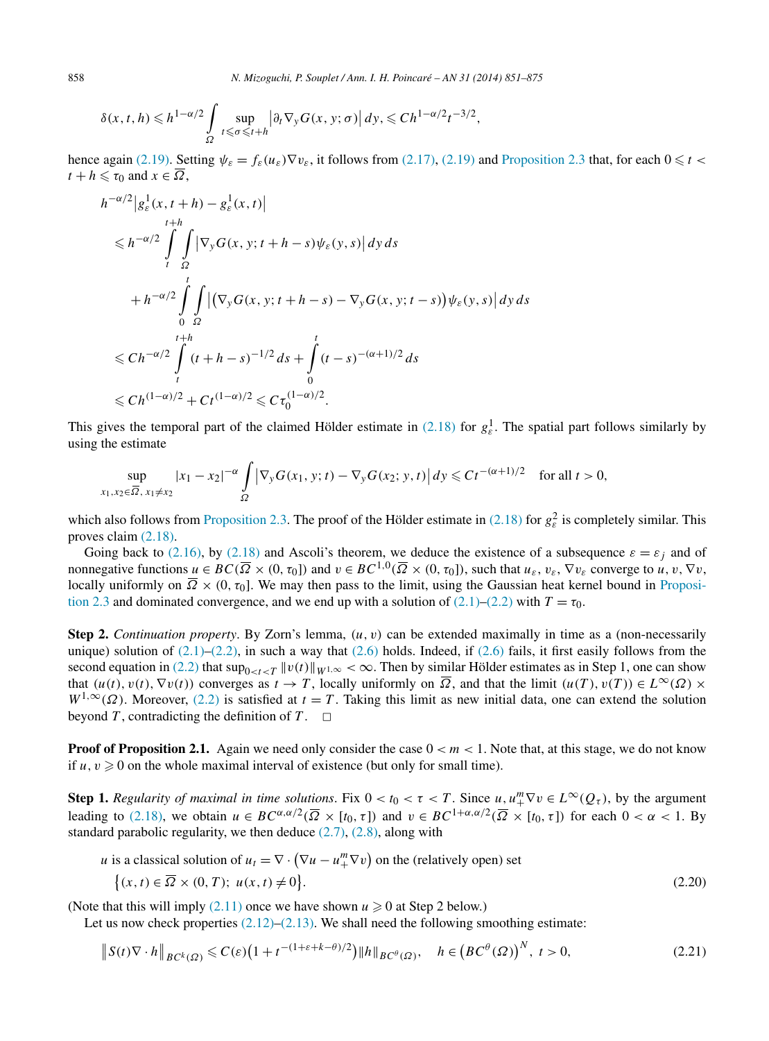$$
\delta(x, t, h) \leq h^{1-\alpha/2} \int_{\Omega} \sup_{t \leq \sigma \leq t+h} \left| \partial_t \nabla_y G(x, y; \sigma) \right| dy, \leq C h^{1-\alpha/2} t^{-3/2},
$$

hence again [\(2.19\).](#page-6-0) Setting  $\psi_{\varepsilon} = f_{\varepsilon}(u_{\varepsilon}) \nabla v_{\varepsilon}$ , it follows from [\(2.17\),](#page-6-0) [\(2.19\)](#page-6-0) and [Proposition 2.3](#page-6-0) that, for each  $0 \le t <$  $t + h \leq \tau_0$  and  $x \in \overline{\Omega}$ ,

$$
h^{-\alpha/2} |g_{\varepsilon}^{1}(x, t+h) - g_{\varepsilon}^{1}(x, t)|
$$
  
\n
$$
\leq h^{-\alpha/2} \int_{t}^{t+h} \int_{\Omega} |\nabla_{y} G(x, y; t+h - s) \psi_{\varepsilon}(y, s)| dy ds
$$
  
\n
$$
+ h^{-\alpha/2} \int_{0}^{t} \int_{\Omega} |(\nabla_{y} G(x, y; t+h - s) - \nabla_{y} G(x, y; t - s)) \psi_{\varepsilon}(y, s)| dy ds
$$
  
\n
$$
\leq C h^{-\alpha/2} \int_{t}^{t+h} (t+h - s)^{-1/2} ds + \int_{0}^{t} (t - s)^{-(\alpha+1)/2} ds
$$
  
\n
$$
\leq C h^{(1-\alpha)/2} + C t^{(1-\alpha)/2} \leq C \tau_{0}^{(1-\alpha)/2}.
$$

This gives the temporal part of the claimed Hölder estimate in  $(2.18)$  for  $g_{\varepsilon}^1$ . The spatial part follows similarly by using the estimate

$$
\sup_{x_1, x_2 \in \overline{\Omega}, x_1 \neq x_2} |x_1 - x_2|^{-\alpha} \int_{\Omega} \left| \nabla_y G(x_1, y; t) - \nabla_y G(x_2; y, t) \right| dy \leq C t^{-(\alpha + 1)/2} \quad \text{for all } t > 0,
$$

which also follows from [Proposition 2.3.](#page-6-0) The proof of the Hölder estimate in [\(2.18\)](#page-6-0) for  $g_{\varepsilon}^2$  is completely similar. This proves claim [\(2.18\).](#page-6-0)

Going back to [\(2.16\),](#page-6-0) by [\(2.18\)](#page-6-0) and Ascoli's theorem, we deduce the existence of a subsequence  $\varepsilon = \varepsilon_j$  and of nonnegative functions  $u \in BC(\overline{\Omega} \times (0, \tau_0))$  and  $v \in BC^{1,0}(\overline{\Omega} \times (0, \tau_0))$ , such that  $u_{\varepsilon}, v_{\varepsilon}, \nabla v_{\varepsilon}$  converge to  $u, v, \nabla v$ , locally uniformly on  $\overline{\Omega} \times (0, \tau_0]$ . We may then pass to the limit, using the Gaussian heat kernel bound in [Proposi](#page-6-0)[tion 2.3](#page-6-0) and dominated convergence, and we end up with a solution of [\(2.1\)](#page-4-0)[–\(2.2\)](#page-5-0) with  $T = \tau_0$ .

**Step 2.** *Continuation property*. By Zorn's lemma, *(u,v)* can be extended maximally in time as a (non-necessarily unique) solution of  $(2.1)$ – $(2.2)$ , in such a way that  $(2.6)$  holds. Indeed, if  $(2.6)$  fails, it first easily follows from the second equation in [\(2.2\)](#page-5-0) that  $\sup_{0 \le t \le T} ||v(t)||_{W^{1,\infty}} < \infty$ . Then by similar Hölder estimates as in Step 1, one can show that  $(u(t),v(t),\nabla v(t))$  converges as  $t \to T$ , locally uniformly on  $\overline{\Omega}$ , and that the limit  $(u(T),v(T)) \in L^{\infty}(\Omega) \times$  $W^{1,\infty}(\Omega)$ . Moreover, [\(2.2\)](#page-5-0) is satisfied at  $t = T$ . Taking this limit as new initial data, one can extend the solution beyond *T*, contradicting the definition of *T*.  $\Box$ 

**Proof of Proposition 2.1.** Again we need only consider the case  $0 < m < 1$ . Note that, at this stage, we do not know if  $u, v \ge 0$  on the whole maximal interval of existence (but only for small time).

**Step 1.** *Regularity of maximal in time solutions.* Fix  $0 < t_0 < \tau < T$ . Since  $u, u_+^m \nabla v \in L^\infty(Q_\tau)$ , by the argument leading to [\(2.18\),](#page-6-0) we obtain  $u \in BC^{\alpha, \alpha/2}(\overline{\Omega} \times [t_0, \tau])$  and  $v \in BC^{1+\alpha, \alpha/2}(\overline{\Omega} \times [t_0, \tau])$  for each  $0 < \alpha < 1$ . By standard parabolic regularity, we then deduce  $(2.7)$ ,  $(2.8)$ , along with

*u* is a classical solution of  $u_t = \nabla \cdot (\nabla u - u_+^m \nabla v)$  on the (relatively open) set

$$
\{(x,t) \in \overline{\Omega} \times (0,T); \ u(x,t) \neq 0\}.
$$
\n
$$
(2.20)
$$

(Note that this will imply  $(2.11)$  once we have shown  $u \ge 0$  at Step 2 below.)

Let us now check properties  $(2.12)$ – $(2.13)$ . We shall need the following smoothing estimate:

$$
\|S(t)\nabla \cdot h\|_{BC^k(\Omega)} \leqslant C(\varepsilon)\left(1 + t^{-(1+\varepsilon+k-\theta)/2}\right) \|h\|_{BC^{\theta}(\Omega)}, \quad h \in \left(BC^{\theta}(\Omega)\right)^N, \ t > 0,
$$
\n(2.21)

<span id="page-7-0"></span>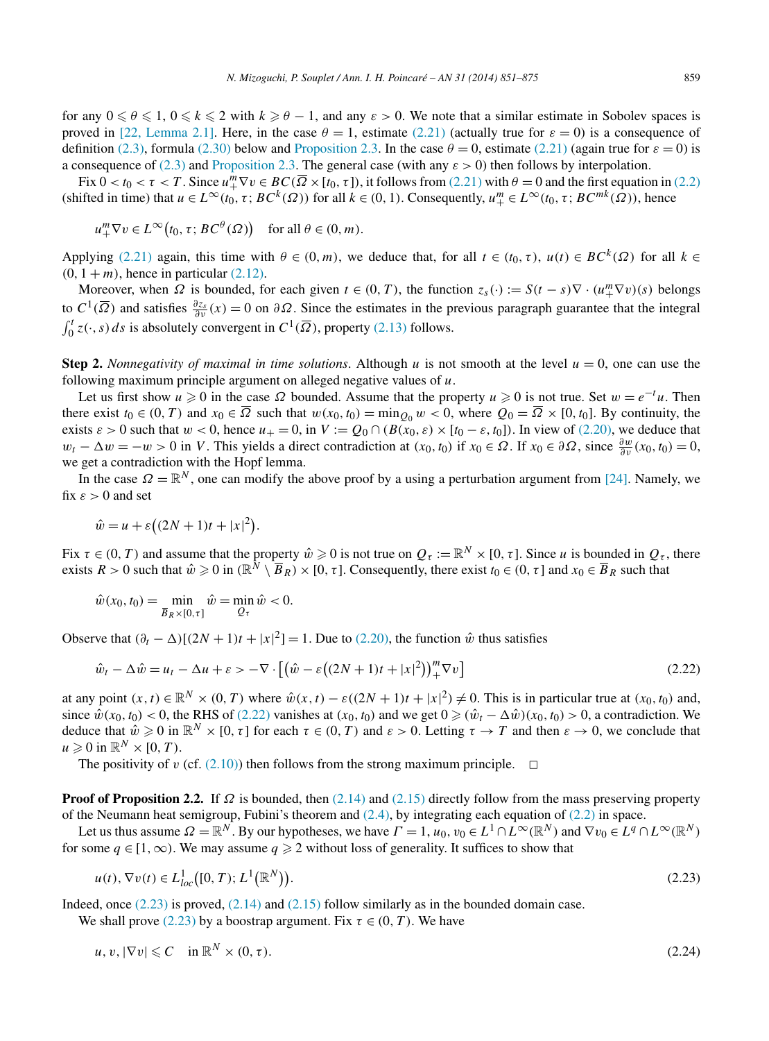<span id="page-8-0"></span>for any  $0 \le \theta \le 1$ ,  $0 \le k \le 2$  with  $k \ge \theta - 1$ , and any  $\varepsilon > 0$ . We note that a similar estimate in Sobolev spaces is proved in [\[22, Lemma 2.1\].](#page-23-0) Here, in the case  $\theta = 1$ , estimate [\(2.21\)](#page-7-0) (actually true for  $\varepsilon = 0$ ) is a consequence of definition [\(2.3\),](#page-5-0) formula [\(2.30\)](#page-10-0) below and [Proposition 2.3.](#page-6-0) In the case  $\theta = 0$ , estimate [\(2.21\)](#page-7-0) (again true for  $\varepsilon = 0$ ) is a consequence of [\(2.3\)](#page-5-0) and [Proposition 2.3.](#page-6-0) The general case (with any *ε >* 0) then follows by interpolation.

Fix  $0 < t_0 < \tau < T$ . Since  $u_+^m \nabla v \in BC(\overline{\Omega} \times [t_0, \tau])$ , it follows from [\(2.21\)](#page-7-0) with  $\theta = 0$  and the first equation in [\(2.2\)](#page-5-0) (shifted in time) that  $u \in L^{\infty}(t_0, \tau; BC^k(\Omega))$  for all  $k \in (0, 1)$ . Consequently,  $u^m_+ \in L^{\infty}(t_0, \tau; BC^{mk}(\Omega))$ , hence

$$
u_+^m \nabla v \in L^\infty(t_0, \tau; BC^\theta(\Omega)) \quad \text{for all } \theta \in (0, m).
$$

Applying [\(2.21\)](#page-7-0) again, this time with  $\theta \in (0, m)$ , we deduce that, for all  $t \in (t_0, \tau)$ ,  $u(t) \in BC^k(\Omega)$  for all  $k \in$  $(0, 1 + m)$ , hence in particular  $(2.12)$ .

Moreover, when  $\Omega$  is bounded, for each given  $t \in (0, T)$ , the function  $z_s(\cdot) := S(t - s)\nabla \cdot (u^m_+ \nabla v)(s)$  belongs to  $C^1(\overline{\Omega})$  and satisfies  $\frac{\partial z_s}{\partial v}(x) = 0$  on  $\partial \Omega$ . Since the estimates in the previous paragraph guarantee that the integral  $\int_0^t z(\cdot, s) ds$  is absolutely convergent in  $C^1(\overline{\Omega})$ , property [\(2.13\)](#page-6-0) follows.

**Step 2.** *Nonnegativity of maximal in time solutions*. Although *u* is not smooth at the level  $u = 0$ , one can use the following maximum principle argument on alleged negative values of *u*.

Let us first show  $u \ge 0$  in the case  $\Omega$  bounded. Assume that the property  $u \ge 0$  is not true. Set  $w = e^{-t}u$ . Then there exist  $t_0 \in (0, T)$  and  $x_0 \in \overline{\Omega}$  such that  $w(x_0, t_0) = \min_{Q_0} w < 0$ , where  $Q_0 = \overline{\Omega} \times [0, t_0]$ . By continuity, the exists  $\varepsilon > 0$  such that  $w < 0$ , hence  $u_{+} = 0$ , in  $V := Q_0 \cap (B(x_0, \varepsilon) \times [t_0 - \varepsilon, t_0])$ . In view of [\(2.20\),](#page-7-0) we deduce that  $w_t - \Delta w = -w > 0$  in V. This yields a direct contradiction at  $(x_0, t_0)$  if  $x_0 \in \Omega$ . If  $x_0 \in \partial \Omega$ , since  $\frac{\partial w}{\partial \nu}(x_0, t_0) = 0$ , we get a contradiction with the Hopf lemma.

In the case  $\Omega = \mathbb{R}^N$ , one can modify the above proof by a using a perturbation argument from [\[24\].](#page-23-0) Namely, we fix  $\varepsilon > 0$  and set

$$
\hat{w} = u + \varepsilon \left( (2N + 1)t + |x|^2 \right).
$$

Fix  $\tau \in (0, T)$  and assume that the property  $\hat{w} \geq 0$  is not true on  $Q_{\tau} := \mathbb{R}^N \times [0, \tau]$ . Since *u* is bounded in  $Q_{\tau}$ , there exists  $R > 0$  such that  $\hat{w} \geq 0$  in  $(\mathbb{R}^N \setminus \overline{B}_R) \times [0, \tau]$ . Consequently, there exist  $t_0 \in (0, \tau]$  and  $x_0 \in \overline{B}_R$  such that

$$
\hat{w}(x_0, t_0) = \min_{\bar{B}_R \times [0, \tau]} \hat{w} = \min_{Q_\tau} \hat{w} < 0.
$$

Observe that  $(\partial_t - \Delta)[(2N + 1)t + |x|^2] = 1$ . Due to [\(2.20\),](#page-7-0) the function  $\hat{w}$  thus satisfies

$$
\hat{w}_t - \Delta \hat{w} = u_t - \Delta u + \varepsilon > -\nabla \cdot \left[ \left( \hat{w} - \varepsilon \left( (2N + 1)t + |x|^2 \right) \right)_{+}^{m} \nabla v \right]
$$
\n(2.22)

at any point  $(x, t) \in \mathbb{R}^N \times (0, T)$  where  $\hat{w}(x, t) - \varepsilon((2N + 1)t + |x|^2) \neq 0$ . This is in particular true at  $(x_0, t_0)$  and, since  $\hat{w}(x_0, t_0) < 0$ , the RHS of (2.22) vanishes at  $(x_0, t_0)$  and we get  $0 \ge (\hat{w}_t - \Delta \hat{w})(x_0, t_0) > 0$ , a contradiction. We deduce that  $\hat{w} \geq 0$  in  $\mathbb{R}^N \times [0, \tau]$  for each  $\tau \in (0, T)$  and  $\varepsilon > 0$ . Letting  $\tau \to T$  and then  $\varepsilon \to 0$ , we conclude that  $u \geqslant 0$  in  $\mathbb{R}^N \times [0, T)$ .

The positivity of *v* (cf.  $(2.10)$ ) then follows from the strong maximum principle.  $\Box$ 

**Proof of Proposition 2.2.** If *Ω* is bounded, then [\(2.14\)](#page-6-0) and [\(2.15\)](#page-6-0) directly follow from the mass preserving property of the Neumann heat semigroup, Fubini's theorem and  $(2.4)$ , by integrating each equation of  $(2.2)$  in space.

Let us thus assume  $\Omega = \mathbb{R}^N$ . By our hypotheses, we have  $\Gamma = 1$ ,  $u_0, v_0 \in L^1 \cap L^\infty(\mathbb{R}^N)$  and  $\nabla v_0 \in L^q \cap L^\infty(\mathbb{R}^N)$ for some  $q \in [1, \infty)$ . We may assume  $q \ge 2$  without loss of generality. It suffices to show that

$$
u(t), \nabla v(t) \in L_{loc}^{1}([0, T); L^{1}(\mathbb{R}^{N})).
$$
\n(2.23)

Indeed, once (2.23) is proved, [\(2.14\)](#page-6-0) and [\(2.15\)](#page-6-0) follow similarly as in the bounded domain case.

We shall prove  $(2.23)$  by a boostrap argument. Fix  $\tau \in (0, T)$ . We have

$$
u, v, |\nabla v| \leqslant C \quad \text{in } \mathbb{R}^N \times (0, \tau). \tag{2.24}
$$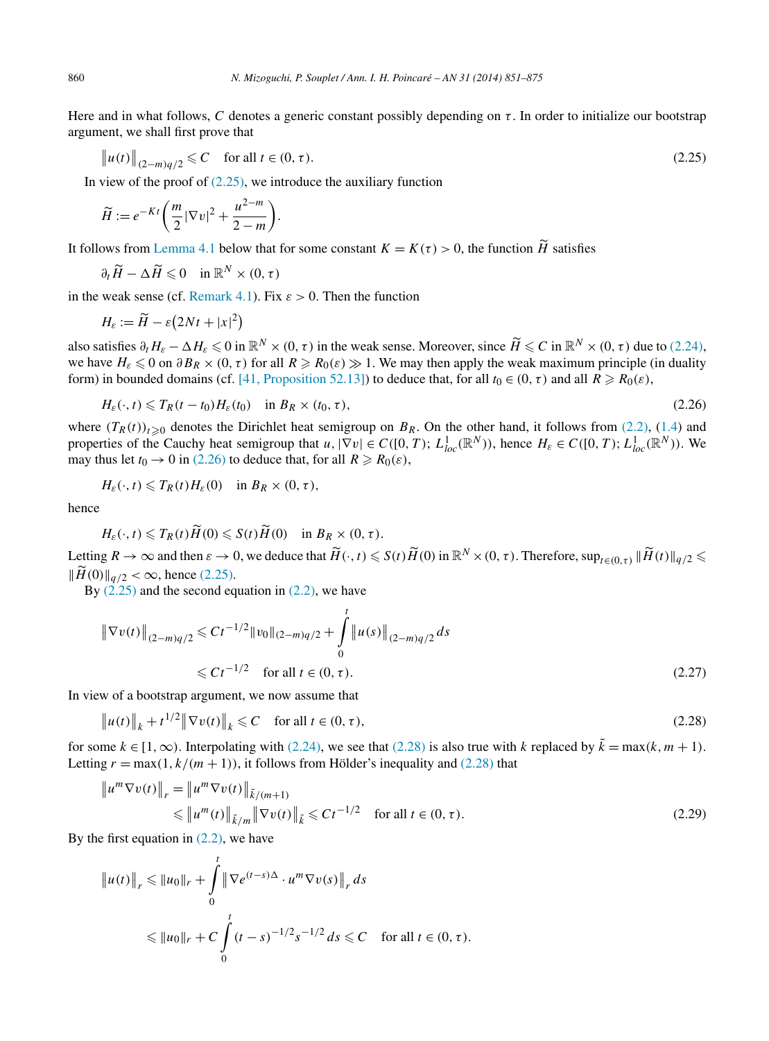<span id="page-9-0"></span>Here and in what follows, *C* denotes a generic constant possibly depending on *τ* . In order to initialize our bootstrap argument, we shall first prove that

$$
\|u(t)\|_{(2-m)q/2} \leq C \quad \text{for all } t \in (0, \tau). \tag{2.25}
$$

In view of the proof of  $(2.25)$ , we introduce the auxiliary function

$$
\widetilde{H} := e^{-Kt} \left( \frac{m}{2} |\nabla v|^2 + \frac{u^{2-m}}{2-m} \right).
$$

It follows from [Lemma 4.1](#page-17-0) below that for some constant  $K = K(\tau) > 0$ , the function  $\widetilde{H}$  satisfies

$$
\partial_t \widetilde{H} - \Delta \widetilde{H} \leq 0 \quad \text{in } \mathbb{R}^N \times (0, \tau)
$$

in the weak sense (cf. [Remark 4.1\)](#page-17-0). Fix  $\varepsilon > 0$ . Then the function

$$
H_{\varepsilon} := \widetilde{H} - \varepsilon \big( 2Nt + |x|^2 \big)
$$

also satisfies  $\partial_t H_{\varepsilon} - \Delta H_{\varepsilon} \leq 0$  in  $\mathbb{R}^N \times (0, \tau)$  in the weak sense. Moreover, since  $\widetilde{H} \leq C$  in  $\mathbb{R}^N \times (0, \tau)$  due to [\(2.24\),](#page-8-0) we have  $H_{\varepsilon} \leq 0$  on  $\partial B_R \times (0, \tau)$  for all  $R \geq R_0(\varepsilon) \gg 1$ . We may then apply the weak maximum principle (in duality form) in bounded domains (cf. [\[41, Proposition 52.13\]\)](#page-24-0) to deduce that, for all  $t_0 \in (0, \tau)$  and all  $R \ge R_0(\varepsilon)$ ,

$$
H_{\varepsilon}(\cdot,t) \leqslant T_{R}(t-t_{0})H_{\varepsilon}(t_{0}) \quad \text{in } B_{R} \times (t_{0},\tau), \tag{2.26}
$$

where  $(T_R(t))_{t\geq 0}$  denotes the Dirichlet heat semigroup on  $B_R$ . On the other hand, it follows from [\(2.2\),](#page-5-0) [\(1.4\)](#page-1-0) and properties of the Cauchy heat semigroup that  $u$ ,  $|\nabla v| \in C([0, T); L^1_{loc}(\mathbb{R}^N))$ , hence  $H_{\varepsilon} \in C([0, T); L^1_{loc}(\mathbb{R}^N))$ . We may thus let  $t_0 \to 0$  in (2.26) to deduce that, for all  $R \ge R_0(\varepsilon)$ ,

$$
H_{\varepsilon}(\cdot,t)\leqslant T_R(t)H_{\varepsilon}(0)\quad\text{in }B_R\times(0,\tau),
$$

hence

$$
H_{\varepsilon}(\cdot,t)\leqslant T_R(t)\widetilde{H}(0)\leqslant S(t)\widetilde{H}(0)\quad\text{in }B_R\times(0,\tau).
$$

Letting  $R \to \infty$  and then  $\varepsilon \to 0$ , we deduce that  $\widetilde{H}(\cdot,t) \leqslant S(t)\widetilde{H}(0)$  in  $\mathbb{R}^N \times (0,\tau)$ . Therefore,  $\sup_{t \in (0,\tau)} \|\widetilde{H}(t)\|_{q/2} \leqslant$  $\| \tilde{H}(0) \|_{q/2} < \infty$ , hence (2.25).

By  $(2.25)$  and the second equation in  $(2.2)$ , we have

$$
\|\nabla v(t)\|_{(2-m)q/2} \leq C t^{-1/2} \|v_0\|_{(2-m)q/2} + \int_0^t \|u(s)\|_{(2-m)q/2} ds
$$
  
\$\leq C t^{-1/2} for all  $t \in (0, \tau)$ . \n
$$
(2.27)
$$

In view of a bootstrap argument, we now assume that

$$
\|u(t)\|_{k} + t^{1/2} \|\nabla v(t)\|_{k} \leq C \quad \text{for all } t \in (0, \tau),
$$
 (2.28)

for some  $k \in [1, \infty)$ . Interpolating with [\(2.24\),](#page-8-0) we see that (2.28) is also true with *k* replaced by  $\tilde{k} = \max(k, m + 1)$ . Letting  $r = \max(1, k/(m + 1))$ , it follows from Hölder's inequality and (2.28) that

$$
\|u^m \nabla v(t)\|_{r} = \|u^m \nabla v(t)\|_{\tilde{k}/m+1} \leq \|u^m(t)\|_{\tilde{k}/m} \|\nabla v(t)\|_{\tilde{k}} \leq C t^{-1/2} \quad \text{for all } t \in (0, \tau).
$$
\n(2.29)

By the first equation in  $(2.2)$ , we have

$$
||u(t)||_r \le ||u_0||_r + \int_0^t ||\nabla e^{(t-s)\Delta} \cdot u^m \nabla v(s)||_r ds
$$
  
 
$$
\le ||u_0||_r + C \int_0^t (t-s)^{-1/2} s^{-1/2} ds \le C \quad \text{for all } t \in (0, \tau).
$$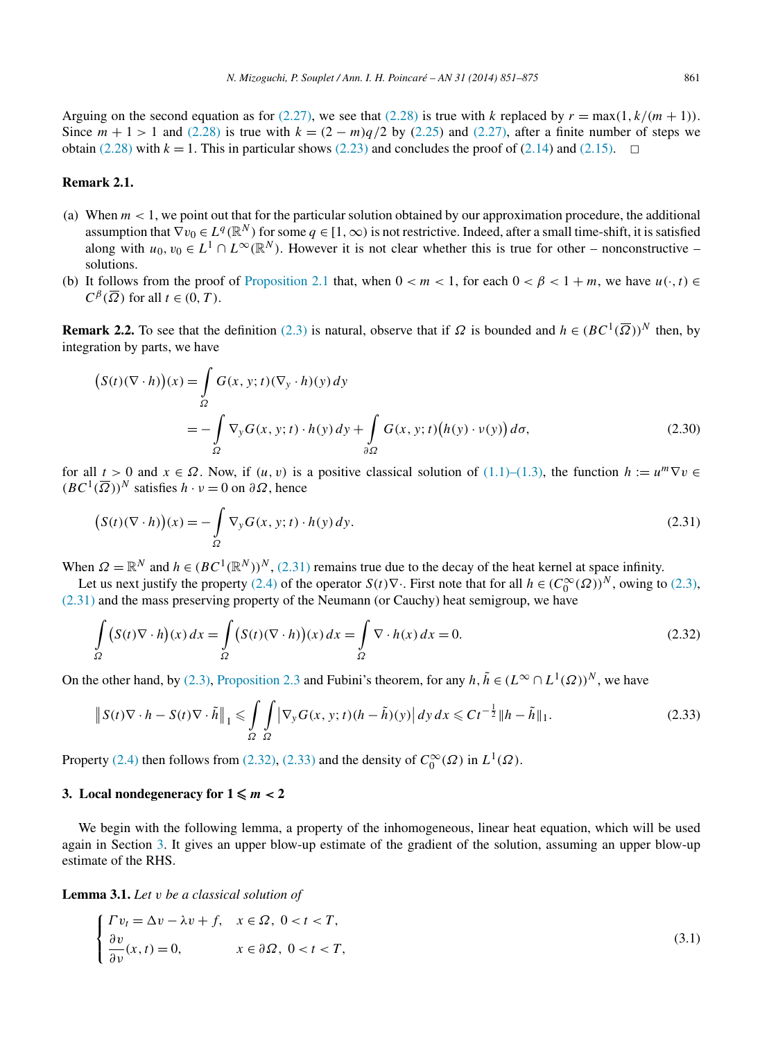<span id="page-10-0"></span>Arguing on the second equation as for [\(2.27\),](#page-9-0) we see that [\(2.28\)](#page-9-0) is true with *k* replaced by  $r = \max(1, k/(m + 1))$ . Since  $m + 1 > 1$  and [\(2.28\)](#page-9-0) is true with  $k = (2 - m)q/2$  by [\(2.25\)](#page-9-0) and [\(2.27\),](#page-9-0) after a finite number of steps we obtain [\(2.28\)](#page-9-0) with  $k = 1$ . This in particular shows [\(2.23\)](#page-8-0) and concludes the proof of [\(2.14\)](#page-6-0) and [\(2.15\).](#page-6-0)  $\Box$ 

# **Remark 2.1.**

- (a) When  $m < 1$ , we point out that for the particular solution obtained by our approximation procedure, the additional assumption that  $\nabla v_0 \in L^q(\mathbb{R}^N)$  for some  $q \in [1,\infty)$  is not restrictive. Indeed, after a small time-shift, it is satisfied along with  $u_0, v_0 \in L^1 \cap L^\infty(\mathbb{R}^N)$ . However it is not clear whether this is true for other – nonconstructive – solutions.
- (b) It follows from the proof of [Proposition 2.1](#page-5-0) that, when  $0 < m < 1$ , for each  $0 < \beta < 1 + m$ , we have  $u(\cdot, t) \in$  $C^{\beta}(\overline{\Omega})$  for all  $t \in (0, T)$ .

**Remark 2.2.** To see that the definition [\(2.3\)](#page-5-0) is natural, observe that if  $\Omega$  is bounded and  $h \in (BC^1(\overline{\Omega}))^N$  then, by integration by parts, we have

$$
(S(t)(\nabla \cdot h))(x) = \int_{\Omega} G(x, y; t)(\nabla_{y} \cdot h)(y) dy
$$
  
= 
$$
- \int_{\Omega} \nabla_{y} G(x, y; t) \cdot h(y) dy + \int_{\partial \Omega} G(x, y; t) (h(y) \cdot \nu(y)) d\sigma,
$$
 (2.30)

for all  $t > 0$  and  $x \in \Omega$ . Now, if  $(u, v)$  is a positive classical solution of  $(1.1)$ – $(1.3)$ , the function  $h := u^m \nabla v \in$  $(BC^1(\overline{\Omega}))^N$  satisfies  $h \cdot v = 0$  on  $\partial \Omega$ , hence

$$
(S(t)(\nabla \cdot h))(x) = -\int_{\Omega} \nabla_y G(x, y; t) \cdot h(y) \, dy. \tag{2.31}
$$

When  $\Omega = \mathbb{R}^N$  and  $h \in (BC^1(\mathbb{R}^N))^N$ , (2.31) remains true due to the decay of the heat kernel at space infinity.

Let us next justify the property [\(2.4\)](#page-5-0) of the operator  $S(t)\nabla$ . First note that for all  $h \in (C_0^{\infty}(\Omega))^N$ , owing to [\(2.3\),](#page-5-0) (2.31) and the mass preserving property of the Neumann (or Cauchy) heat semigroup, we have

$$
\int_{\Omega} \left( S(t) \nabla \cdot h \right) (x) dx = \int_{\Omega} \left( S(t) (\nabla \cdot h) \right) (x) dx = \int_{\Omega} \nabla \cdot h(x) dx = 0.
$$
\n(2.32)

On the other hand, by [\(2.3\),](#page-5-0) [Proposition 2.3](#page-6-0) and Fubini's theorem, for any  $h, \tilde{h} \in (L^{\infty} \cap L^{1}(\Omega))^{N}$ , we have

$$
\|S(t)\nabla \cdot h - S(t)\nabla \cdot \tilde{h}\|_{1} \leq \int_{\Omega} \int_{\Omega} \left|\nabla_{y} G(x, y; t)(h - \tilde{h})(y)\right| dy dx \leq C t^{-\frac{1}{2}} \|h - \tilde{h}\|_{1}.
$$
 (2.33)

Property [\(2.4\)](#page-5-0) then follows from (2.32), (2.33) and the density of  $C_0^{\infty}(\Omega)$  in  $L^1(\Omega)$ .

# **3.** Local nondegeneracy for  $1 \leq m < 2$

We begin with the following lemma, a property of the inhomogeneous, linear heat equation, which will be used again in Section 3. It gives an upper blow-up estimate of the gradient of the solution, assuming an upper blow-up estimate of the RHS.

**Lemma 3.1.** *Let v be a classical solution of*

$$
\begin{cases}\n\Gamma v_t = \Delta v - \lambda v + f, & x \in \Omega, \ 0 < t < T, \\
\frac{\partial v}{\partial \nu}(x, t) = 0, & x \in \partial \Omega, \ 0 < t < T,\n\end{cases}
$$
\n(3.1)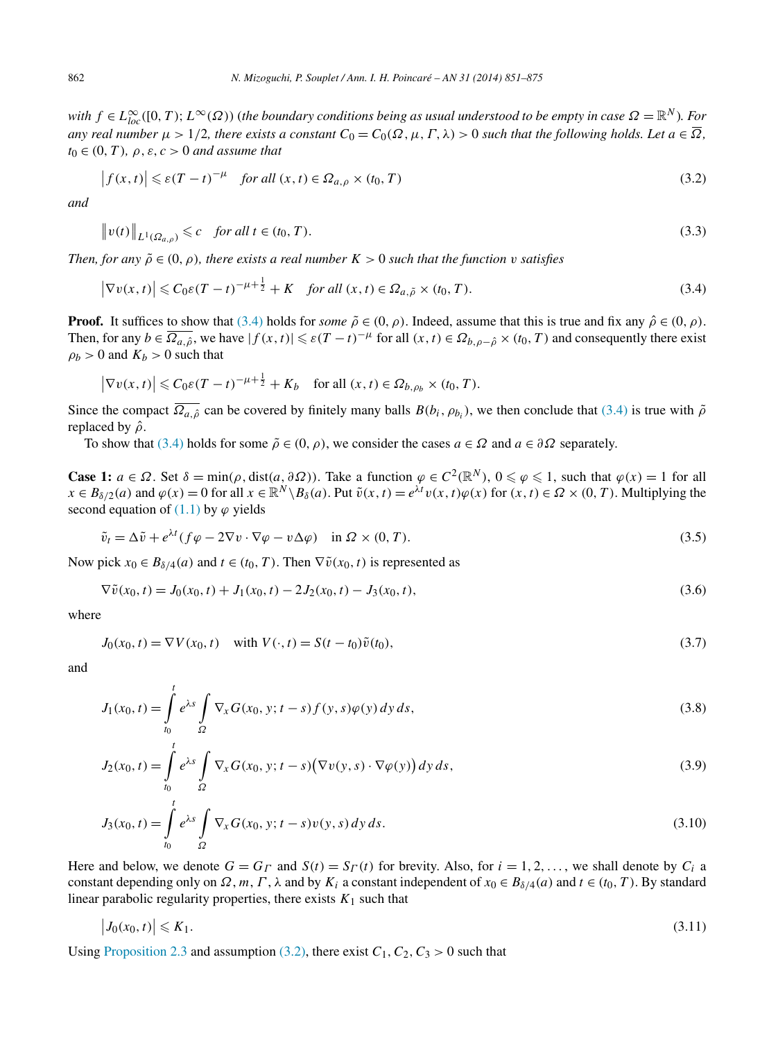<span id="page-11-0"></span>*with*  $f \in L^{\infty}_{loc}([0,T); L^{\infty}(\Omega))$  (the boundary conditions being as usual understood to be empty in case  $\Omega = \mathbb{R}^{N}$ ). For *any real number*  $\mu > 1/2$ , there exists a constant  $C_0 = C_0(\Omega, \mu, \Gamma, \lambda) > 0$  such that the following holds. Let  $a \in \overline{\Omega}$ ,  $t_0 \in (0, T)$ *,*  $\rho$ *, ε, c >* 0 *and assume that* 

$$
\left| f(x,t) \right| \leqslant \varepsilon (T-t)^{-\mu} \quad \text{for all } (x,t) \in \Omega_{a,\rho} \times (t_0, T) \tag{3.2}
$$

*and*

$$
\|v(t)\|_{L^1(\Omega_{a,\rho})} \leq c \quad \text{for all } t \in (t_0, T). \tag{3.3}
$$

*Then, for any*  $\tilde{\rho} \in (0, \rho)$ *, there exists a real number*  $K > 0$  *such that the function v satisfies* 

$$
\left|\nabla v(x,t)\right| \leq C_0 \varepsilon (T-t)^{-\mu + \frac{1}{2}} + K \quad \text{for all } (x,t) \in \Omega_{a,\tilde{\rho}} \times (t_0, T). \tag{3.4}
$$

**Proof.** It suffices to show that (3.4) holds for *some*  $\tilde{\rho} \in (0, \rho)$ . Indeed, assume that this is true and fix any  $\hat{\rho} \in (0, \rho)$ . Then, for any  $b \in \overline{\Omega_{a,\hat{\rho}}}$ , we have  $|f(x,t)| \leq \varepsilon (T-t)^{-\mu}$  for all  $(x,t) \in \Omega_{b,\rho-\hat{\rho}} \times (t_0, T)$  and consequently there exist  $\rho_b > 0$  and  $K_b > 0$  such that

$$
\left|\nabla v(x,t)\right| \leqslant C_0 \varepsilon (T-t)^{-\mu+\frac{1}{2}} + K_b \quad \text{for all } (x,t) \in \Omega_{b,\rho_b} \times (t_0, T).
$$

Since the compact  $\overline{\Omega_{a}}$  can be covered by finitely many balls  $B(b_i, \rho_{b_i})$ , we then conclude that (3.4) is true with  $\tilde{\rho}$ replaced by *ρ*ˆ.

To show that (3.4) holds for some  $\tilde{\rho} \in (0, \rho)$ , we consider the cases  $a \in \Omega$  and  $a \in \partial \Omega$  separately.

**Case 1:**  $a \in \Omega$ . Set  $\delta = \min(\rho, \text{dist}(a, \partial \Omega))$ . Take a function  $\varphi \in C^2(\mathbb{R}^N)$ ,  $0 \leq \varphi \leq 1$ , such that  $\varphi(x) = 1$  for all  $x \in B_{\delta/2}(a)$  and  $\varphi(x) = 0$  for all  $x \in \mathbb{R}^N \setminus B_\delta(a)$ . Put  $\tilde{v}(x,t) = e^{\lambda t}v(x,t)\varphi(x)$  for  $(x,t) \in \Omega \times (0,T)$ . Multiplying the second equation of  $(1.1)$  by  $\varphi$  yields

$$
\tilde{v}_t = \Delta \tilde{v} + e^{\lambda t} (f \varphi - 2 \nabla v \cdot \nabla \varphi - v \Delta \varphi) \quad \text{in } \Omega \times (0, T). \tag{3.5}
$$

Now pick  $x_0 \in B_{\delta/4}(a)$  and  $t \in (t_0, T)$ . Then  $\nabla \tilde{v}(x_0, t)$  is represented as

$$
\nabla \tilde{v}(x_0, t) = J_0(x_0, t) + J_1(x_0, t) - 2J_2(x_0, t) - J_3(x_0, t),
$$
\n(3.6)

where

$$
J_0(x_0, t) = \nabla V(x_0, t) \quad \text{with } V(\cdot, t) = S(t - t_0)\tilde{v}(t_0),
$$
\n(3.7)

and

$$
J_1(x_0, t) = \int_{t_0}^t e^{\lambda s} \int_{\Omega} \nabla_x G(x_0, y; t - s) f(y, s) \varphi(y) dy ds,
$$
 (3.8)

$$
J_2(x_0, t) = \int_{t_0}^t e^{\lambda s} \int_{\Omega} \nabla_x G(x_0, y; t - s) (\nabla v(y, s) \cdot \nabla \varphi(y)) dy ds,
$$
\n(3.9)

$$
J_3(x_0, t) = \int_{t_0}^t e^{\lambda s} \int_{\Omega} \nabla_x G(x_0, y; t - s) v(y, s) dy ds.
$$
 (3.10)

Here and below, we denote  $G = G_\Gamma$  and  $S(t) = S_\Gamma(t)$  for brevity. Also, for  $i = 1, 2, \ldots$ , we shall denote by  $C_i$  a constant depending only on  $\Omega$ ,  $m$ ,  $\Gamma$ ,  $\lambda$  and by  $K_i$  a constant independent of  $x_0 \in B_{\delta/4}(a)$  and  $t \in (t_0, T)$ . By standard linear parabolic regularity properties, there exists  $K_1$  such that

$$
\left|J_0(x_0,t)\right| \leqslant K_1. \tag{3.11}
$$

Using [Proposition 2.3](#page-6-0) and assumption (3.2), there exist  $C_1$ ,  $C_2$ ,  $C_3 > 0$  such that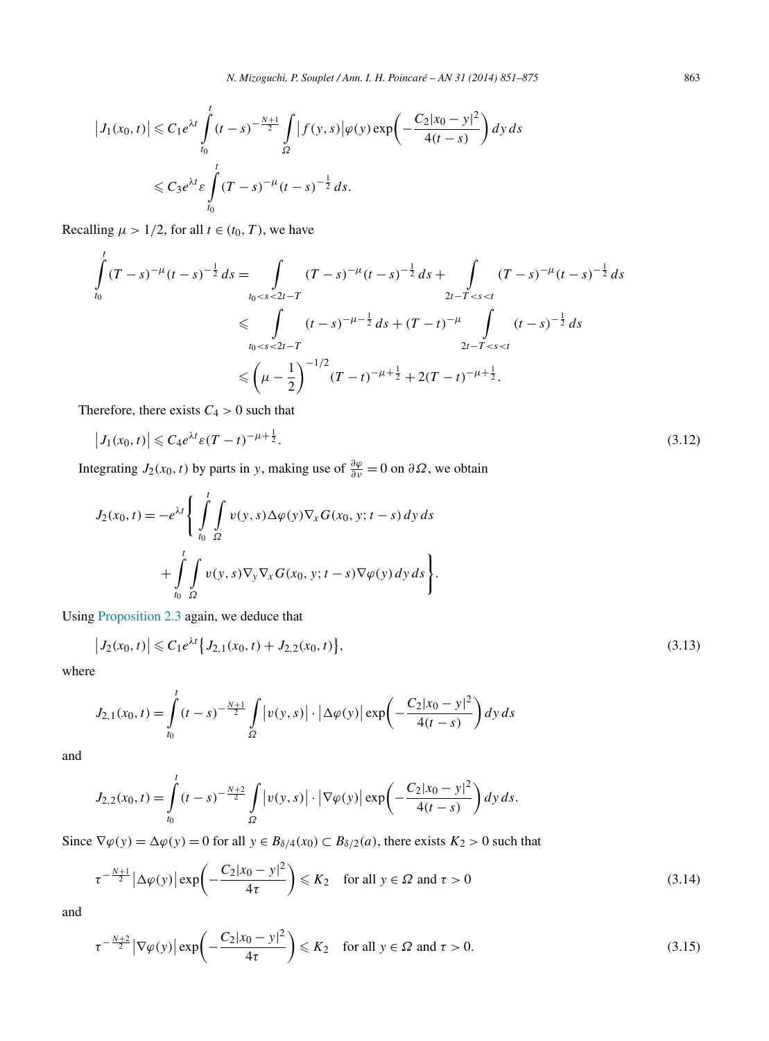<span id="page-12-0"></span>
$$
\left|J_1(x_0, t)\right| \leq C_1 e^{\lambda t} \int_{t_0}^t (t-s)^{-\frac{N+1}{2}} \int_{\Omega} \left|f(y, s)\right| \varphi(y) \exp\left(-\frac{C_2|x_0 - y|^2}{4(t-s)}\right) dy ds
$$
  

$$
\leq C_3 e^{\lambda t} \varepsilon \int_{t_0}^t (T-s)^{-\mu} (t-s)^{-\frac{1}{2}} ds.
$$

Recalling  $\mu > 1/2$ , for all  $t \in (t_0, T)$ , we have

$$
\int_{t_0}^{t} (T - s)^{-\mu} (t - s)^{-\frac{1}{2}} ds = \int_{t_0 < s < 2t - T} (T - s)^{-\mu} (t - s)^{-\frac{1}{2}} ds + \int_{2t - T < s < t} (T - s)^{-\mu} (t - s)^{-\frac{1}{2}} ds
$$
\n
$$
\leq \int_{t_0 < s < 2t - T} (t - s)^{-\mu - \frac{1}{2}} ds + (T - t)^{-\mu} \int_{2t - T < s < t} (t - s)^{-\frac{1}{2}} ds
$$
\n
$$
\leq \left(\mu - \frac{1}{2}\right)^{-1/2} (T - t)^{-\mu + \frac{1}{2}} + 2(T - t)^{-\mu + \frac{1}{2}}.
$$

Therefore, there exists  $C_4 > 0$  such that

$$
|J_1(x_0, t)| \leq C_4 e^{\lambda t} \varepsilon (T - t)^{-\mu + \frac{1}{2}}.
$$
\n(3.12)

Integrating *J*<sub>2</sub>(*x*<sub>0</sub>, *t*) by parts in *y*, making use of  $\frac{\partial \varphi}{\partial v} = 0$  on  $\partial \Omega$ , we obtain

$$
J_2(x_0, t) = -e^{\lambda t} \left\{ \int_{t_0}^t \int_{\Omega} v(y, s) \Delta \varphi(y) \nabla_x G(x_0, y; t - s) dy ds + \int_{t_0}^t \int_{\Omega} v(y, s) \nabla_y \nabla_x G(x_0, y; t - s) \nabla \varphi(y) dy ds \right\}.
$$

Using [Proposition 2.3](#page-6-0) again, we deduce that

$$
\left|J_2(x_0,t)\right| \leqslant C_1 e^{\lambda t} \left\{J_{2,1}(x_0,t) + J_{2,2}(x_0,t)\right\},\tag{3.13}
$$

where

$$
J_{2,1}(x_0,t) = \int_{t_0}^t (t-s)^{-\frac{N+1}{2}} \int_{\Omega} \left| v(y,s) \right| \cdot \left| \Delta \varphi(y) \right| \exp\left( -\frac{C_2 |x_0 - y|^2}{4(t-s)} \right) dy ds
$$

and

$$
J_{2,2}(x_0,t) = \int_{t_0}^t (t-s)^{-\frac{N+2}{2}} \int_{\Omega} \left| v(y,s) \right| \cdot \left| \nabla \varphi(y) \right| \exp \left( -\frac{C_2 |x_0 - y|^2}{4(t-s)} \right) dy ds.
$$

Since  $\nabla \varphi(y) = \Delta \varphi(y) = 0$  for all  $y \in B_{\delta/4}(x_0) \subset B_{\delta/2}(a)$ , there exists  $K_2 > 0$  such that

$$
\tau^{-\frac{N+1}{2}} \left| \Delta \varphi(y) \right| \exp\left( -\frac{C_2 |x_0 - y|^2}{4\tau} \right) \leq K_2 \quad \text{for all } y \in \Omega \text{ and } \tau > 0 \tag{3.14}
$$

and

$$
\tau^{-\frac{N+2}{2}} \left| \nabla \varphi(y) \right| \exp\left( -\frac{C_2 |x_0 - y|^2}{4\tau} \right) \le K_2 \quad \text{for all } y \in \Omega \text{ and } \tau > 0. \tag{3.15}
$$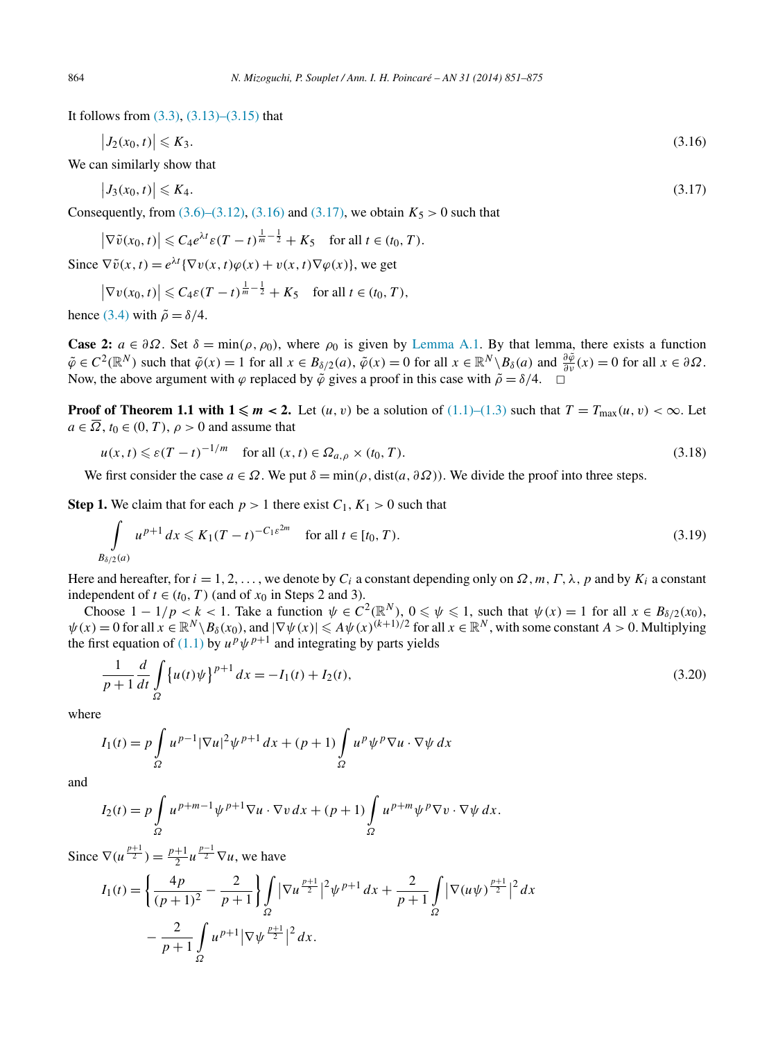<span id="page-13-0"></span>It follows from  $(3.3)$ ,  $(3.13)$ – $(3.15)$  that

$$
\left|J_2(x_0,t)\right| \leqslant K_3. \tag{3.16}
$$

We can similarly show that

$$
\left|J_3(x_0,t)\right| \leqslant K_4. \tag{3.17}
$$

Consequently, from  $(3.6)$ – $(3.12)$ ,  $(3.16)$  and  $(3.17)$ , we obtain  $K_5 > 0$  such that

$$
\left|\nabla\tilde{v}(x_0,t)\right|\leqslant C_4e^{\lambda t}\varepsilon(T-t)^{\frac{1}{m}-\frac{1}{2}}+K_5\quad\text{for all }t\in(t_0,T).
$$

Since  $\nabla \tilde{v}(x,t) = e^{\lambda t} {\nabla v(x,t) \varphi(x) + v(x,t) \nabla \varphi(x)}$ , we get

$$
\left|\nabla v(x_0, t)\right| \leqslant C_4 \varepsilon (T - t)^{\frac{1}{m} - \frac{1}{2}} + K_5 \quad \text{for all } t \in (t_0, T),
$$

hence [\(3.4\)](#page-11-0) with  $\tilde{\rho} = \delta/4$ .

**Case 2:**  $a \in \partial\Omega$ . Set  $\delta = \min(\rho, \rho_0)$ , where  $\rho_0$  is given by [Lemma A.1.](#page-21-0) By that lemma, there exists a function  $\tilde{\varphi} \in C^2(\mathbb{R}^N)$  such that  $\tilde{\varphi}(x) = 1$  for all  $x \in B_{\delta/2}(a)$ ,  $\tilde{\varphi}(x) = 0$  for all  $x \in \mathbb{R}^N \setminus B_{\delta}(a)$  and  $\frac{\partial \tilde{\varphi}}{\partial v}(x) = 0$  for all  $x \in \partial \Omega$ . Now, the above argument with  $\varphi$  replaced by  $\tilde{\varphi}$  gives a proof in this case with  $\tilde{\rho} = \delta/4$ .  $\Box$ 

**Proof of Theorem 1.1 with**  $1 \le m < 2$ **.** Let  $(u, v)$  be a solution of  $(1.1)$ – $(1.3)$  such that  $T = T_{\text{max}}(u, v) < \infty$ . Let  $a \in \overline{\Omega}$ ,  $t_0 \in (0, T)$ ,  $\rho > 0$  and assume that

$$
u(x,t) \leq \varepsilon (T-t)^{-1/m} \quad \text{for all } (x,t) \in \Omega_{a,\rho} \times (t_0, T). \tag{3.18}
$$

We first consider the case  $a \in \Omega$ . We put  $\delta = \min(\rho, \text{dist}(a, \partial \Omega))$ . We divide the proof into three steps.

**Step 1.** We claim that for each  $p > 1$  there exist  $C_1, K_1 > 0$  such that

$$
\int_{B_{\delta/2}(a)} u^{p+1} dx \le K_1 (T-t)^{-C_1 \varepsilon^{2m}} \quad \text{for all } t \in [t_0, T). \tag{3.19}
$$

Here and hereafter, for  $i = 1, 2, \ldots$ , we denote by  $C_i$  a constant depending only on  $\Omega$ ,  $m, \Gamma, \lambda$ ,  $p$  and by  $K_i$  a constant independent of  $t \in (t_0, T)$  (and of  $x_0$  in Steps 2 and 3).

Choose  $1 - 1/p < k < 1$ . Take a function  $\psi \in C^2(\mathbb{R}^N)$ ,  $0 \le \psi \le 1$ , such that  $\psi(x) = 1$  for all  $x \in B_{\delta/2}(x_0)$ ,  $\psi(x) = 0$  for all  $x \in \mathbb{R}^N \setminus B_\delta(x_0)$ , and  $|\nabla \psi(x)| \leq A \psi(x)^{(k+1)/2}$  for all  $x \in \mathbb{R}^N$ , with some constant  $A > 0$ . Multiplying the first equation of [\(1.1\)](#page-1-0) by  $u^p \psi^{p+1}$  and integrating by parts yields

$$
\frac{1}{p+1}\frac{d}{dt}\int_{\Omega}\left\{u(t)\psi\right\}^{p+1}dx = -I_1(t) + I_2(t),\tag{3.20}
$$

where

$$
I_1(t) = p \int_{\Omega} u^{p-1} |\nabla u|^2 \psi^{p+1} dx + (p+1) \int_{\Omega} u^p \psi^p \nabla u \cdot \nabla \psi dx
$$

and

$$
I_2(t) = p \int_{\Omega} u^{p+m-1} \psi^{p+1} \nabla u \cdot \nabla v \, dx + (p+1) \int_{\Omega} u^{p+m} \psi^p \nabla v \cdot \nabla \psi \, dx.
$$

Since  $\nabla(u^{\frac{p+1}{2}}) = \frac{p+1}{2} u^{\frac{p-1}{2}} \nabla u$ , we have

$$
I_1(t) = \left\{ \frac{4p}{(p+1)^2} - \frac{2}{p+1} \right\} \int_{\Omega} |\nabla u^{\frac{p+1}{2}}|^2 \psi^{p+1} dx + \frac{2}{p+1} \int_{\Omega} |\nabla (u\psi)^{\frac{p+1}{2}}|^2 dx - \frac{2}{p+1} \int_{\Omega} u^{p+1} |\nabla \psi^{\frac{p+1}{2}}|^2 dx.
$$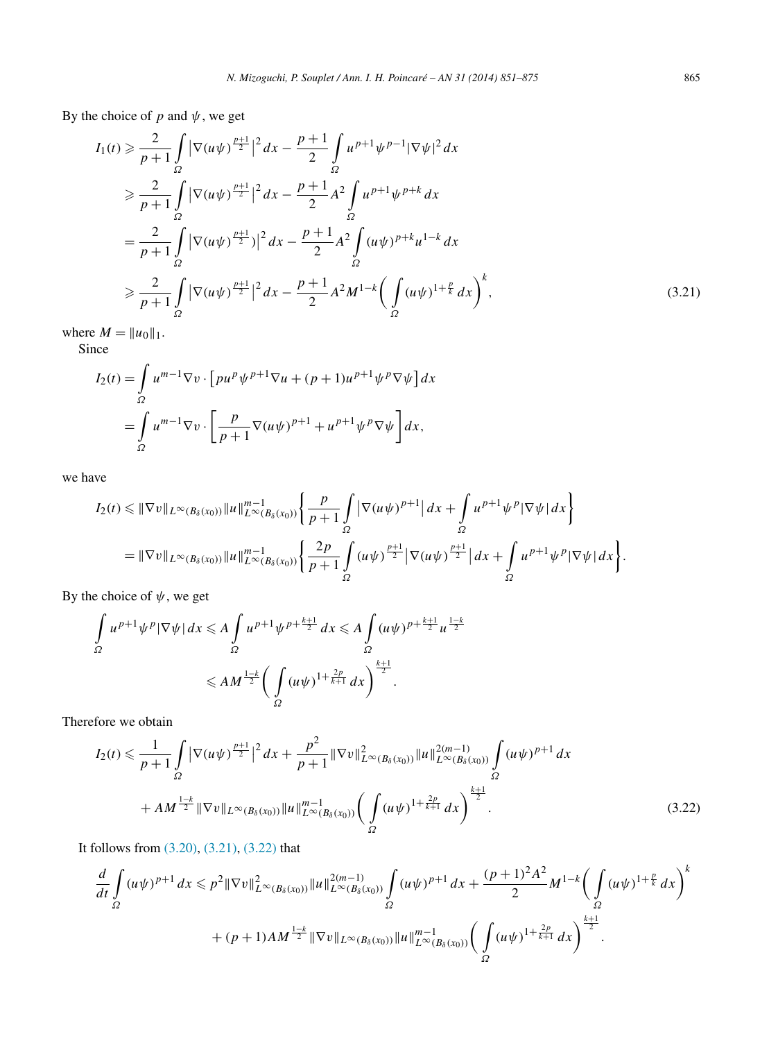By the choice of  $p$  and  $\psi$ , we get

$$
I_{1}(t) \geq \frac{2}{p+1} \int_{\Omega} |\nabla(u\psi)^{\frac{p+1}{2}}|^{2} dx - \frac{p+1}{2} \int_{\Omega} u^{p+1} \psi^{p-1} |\nabla \psi|^{2} dx
$$
  
\n
$$
\geq \frac{2}{p+1} \int_{\Omega} |\nabla(u\psi)^{\frac{p+1}{2}}|^{2} dx - \frac{p+1}{2} A^{2} \int_{\Omega} u^{p+1} \psi^{p+k} dx
$$
  
\n
$$
= \frac{2}{p+1} \int_{\Omega} |\nabla(u\psi)^{\frac{p+1}{2}}|^{2} dx - \frac{p+1}{2} A^{2} \int_{\Omega} (u\psi)^{p+k} u^{1-k} dx
$$
  
\n
$$
\geq \frac{2}{p+1} \int_{\Omega} |\nabla(u\psi)^{\frac{p+1}{2}}|^{2} dx - \frac{p+1}{2} A^{2} M^{1-k} \Big( \int_{\Omega} (u\psi)^{1+\frac{p}{k}} dx \Big)^{k}, \tag{3.21}
$$

where  $M = ||u_0||_1$ .

Since

$$
I_2(t) = \int_{\Omega} u^{m-1} \nabla v \cdot \left[ p u^p \psi^{p+1} \nabla u + (p+1) u^{p+1} \psi^p \nabla \psi \right] dx
$$
  
= 
$$
\int_{\Omega} u^{m-1} \nabla v \cdot \left[ \frac{p}{p+1} \nabla (u \psi)^{p+1} + u^{p+1} \psi^p \nabla \psi \right] dx,
$$

we have

$$
I_2(t) \leq \|\nabla v\|_{L^{\infty}(B_{\delta}(x_0))} \|u\|_{L^{\infty}(B_{\delta}(x_0))}^{m-1} \left\{ \frac{p}{p+1} \int\limits_{\Omega} |\nabla (u\psi)^{p+1}| \, dx + \int\limits_{\Omega} u^{p+1} \psi^p |\nabla \psi| \, dx \right\}
$$
  
=  $\|\nabla v\|_{L^{\infty}(B_{\delta}(x_0))} \|u\|_{L^{\infty}(B_{\delta}(x_0))}^{m-1} \left\{ \frac{2p}{p+1} \int\limits_{\Omega} (u\psi)^{\frac{p+1}{2}} |\nabla (u\psi)^{\frac{p+1}{2}}| \, dx + \int\limits_{\Omega} u^{p+1} \psi^p |\nabla \psi| \, dx \right\}.$ 

By the choice of  $\psi$ , we get

$$
\int_{\Omega} u^{p+1} \psi^p |\nabla \psi| dx \leq A \int_{\Omega} u^{p+1} \psi^{p+\frac{k+1}{2}} dx \leq A \int_{\Omega} (u \psi)^{p+\frac{k+1}{2}} u^{\frac{1-k}{2}} dx
$$
\n
$$
\leq A M^{\frac{1-k}{2}} \bigg( \int_{\Omega} (u \psi)^{1+\frac{2p}{k+1}} dx \bigg)^{\frac{k+1}{2}}.
$$

Therefore we obtain

$$
I_2(t) \leq \frac{1}{p+1} \int_{\Omega} \left| \nabla(u\psi)^{\frac{p+1}{2}} \right|^2 dx + \frac{p^2}{p+1} \|\nabla v\|_{L^{\infty}(B_{\delta}(x_0))}^2 \|u\|_{L^{\infty}(B_{\delta}(x_0))}^{2(m-1)} \int_{\Omega} (u\psi)^{p+1} dx
$$
  
+ 
$$
AM^{\frac{1-k}{2}} \|\nabla v\|_{L^{\infty}(B_{\delta}(x_0))} \|u\|_{L^{\infty}(B_{\delta}(x_0))}^{m-1} \left(\int_{\Omega} (u\psi)^{1+\frac{2p}{k+1}} dx\right)^{\frac{k+1}{2}}.
$$
 (3.22)

It follows from [\(3.20\),](#page-13-0) (3.21), (3.22) that

$$
\frac{d}{dt} \int_{\Omega} (u\psi)^{p+1} dx \leqslant p^2 \|\nabla v\|_{L^{\infty}(B_{\delta}(x_0))}^2 \|u\|_{L^{\infty}(B_{\delta}(x_0))}^{2(m-1)} \int_{\Omega} (u\psi)^{p+1} dx + \frac{(p+1)^2 A^2}{2} M^{1-k} \left(\int_{\Omega} (u\psi)^{1+\frac{p}{k}} dx\right)^k
$$
  
+  $(p+1)AM^{\frac{1-k}{2}} \|\nabla v\|_{L^{\infty}(B_{\delta}(x_0))} \|u\|_{L^{\infty}(B_{\delta}(x_0))}^{m-1} \left(\int_{\Omega} (u\psi)^{1+\frac{2p}{k+1}} dx\right)^{\frac{k+1}{2}}.$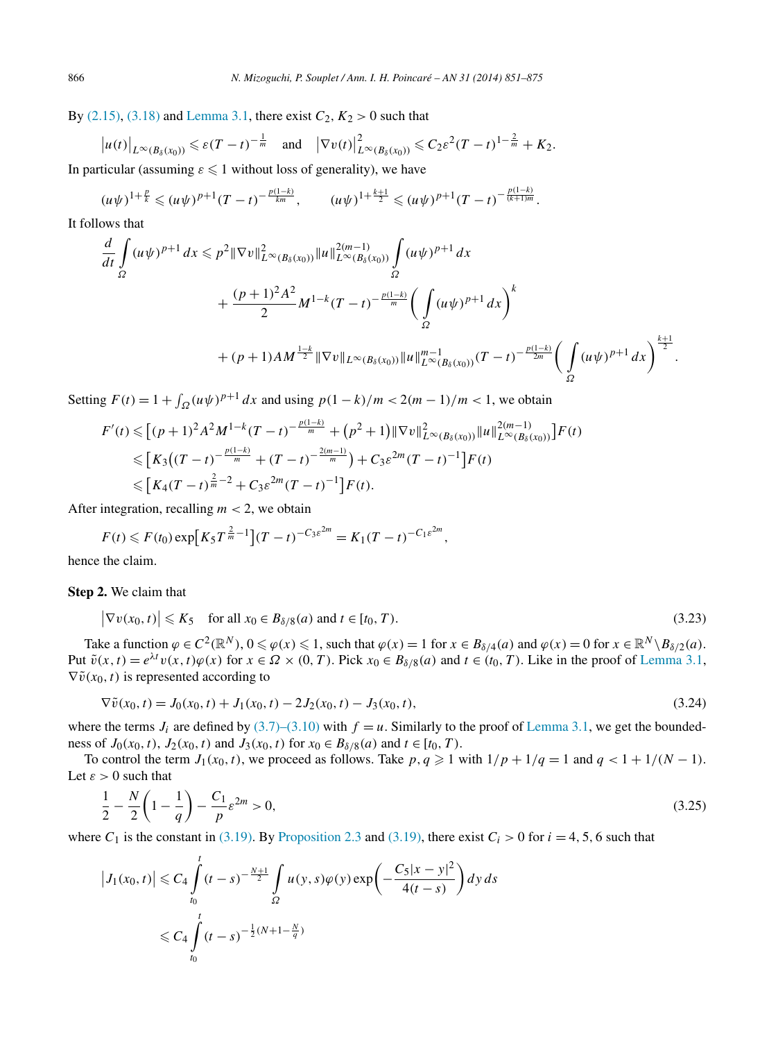<span id="page-15-0"></span>By [\(2.15\),](#page-6-0) [\(3.18\)](#page-13-0) and [Lemma 3.1,](#page-10-0) there exist  $C_2$ ,  $K_2 > 0$  such that

$$
\big|u(t)\big|_{L^{\infty}(B_{\delta}(x_0))}\leqslant \varepsilon(T-t)^{-\frac{1}{m}}\quad \text{and}\quad \big|\nabla v(t)\big|_{L^{\infty}(B_{\delta}(x_0))}^2\leqslant C_2\varepsilon^2(T-t)^{1-\frac{2}{m}}+K_2.
$$

In particular (assuming  $\varepsilon \leq 1$  without loss of generality), we have

$$
(u\psi)^{1+\frac{p}{k}} \leq (u\psi)^{p+1}(T-t)^{-\frac{p(1-k)}{km}}, \qquad (u\psi)^{1+\frac{k+1}{2}} \leq (u\psi)^{p+1}(T-t)^{-\frac{p(1-k)}{(k+1)m}}.
$$

It follows that

$$
\frac{d}{dt} \int_{\Omega} (u\psi)^{p+1} dx \leqslant p^2 \|\nabla v\|_{L^{\infty}(B_{\delta}(x_0))}^2 \|u\|_{L^{\infty}(B_{\delta}(x_0))}^{2(m-1)} \int_{\Omega} (u\psi)^{p+1} dx \n+ \frac{(p+1)^2 A^2}{2} M^{1-k} (T-t)^{-\frac{p(1-k)}{m}} \left( \int_{\Omega} (u\psi)^{p+1} dx \right)^k \n+ (p+1)AM^{\frac{1-k}{2}} \|\nabla v\|_{L^{\infty}(B_{\delta}(x_0))} \|u\|_{L^{\infty}(B_{\delta}(x_0))}^{m-1} (T-t)^{-\frac{p(1-k)}{2m}} \left( \int_{\Omega} (u\psi)^{p+1} dx \right)^{\frac{k+1}{2}}.
$$

Setting  $F(t) = 1 + \int_{\Omega} (u\psi)^{p+1} dx$  and using  $p(1-k)/m < 2(m-1)/m < 1$ , we obtain

$$
F'(t) \leq [p+1)^2 A^2 M^{1-k} (T-t)^{-\frac{p(1-k)}{m}} + (p^2+1) \|\nabla v\|_{L^{\infty}(B_{\delta}(x_0))}^2 \|u\|_{L^{\infty}(B_{\delta}(x_0))}^{2(m-1)} \Big] F(t)
$$
  
\n
$$
\leq [K_3((T-t)^{-\frac{p(1-k)}{m}} + (T-t)^{-\frac{2(m-1)}{m}}) + C_3 \varepsilon^{2m} (T-t)^{-1}] F(t)
$$
  
\n
$$
\leq [K_4(T-t)^{\frac{2}{m}-2} + C_3 \varepsilon^{2m} (T-t)^{-1}] F(t).
$$

After integration, recalling  $m < 2$ , we obtain

$$
F(t) \leq F(t_0) \exp\left[K_5 T^{\frac{2}{m}-1}\right] (T-t)^{-C_3 \varepsilon^{2m}} = K_1 (T-t)^{-C_1 \varepsilon^{2m}},
$$

hence the claim.

**Step 2.** We claim that

$$
\left|\nabla v(x_0, t)\right| \leqslant K_5 \quad \text{for all } x_0 \in B_{\delta/8}(a) \text{ and } t \in [t_0, T). \tag{3.23}
$$

Take a function  $\varphi \in C^2(\mathbb{R}^N)$ ,  $0 \le \varphi(x) \le 1$ , such that  $\varphi(x) = 1$  for  $x \in B_{\delta/4}(a)$  and  $\varphi(x) = 0$  for  $x \in \mathbb{R}^N \setminus B_{\delta/2}(a)$ . Put  $\tilde{v}(x,t) = e^{\lambda t}v(x,t)\varphi(x)$  for  $x \in \Omega \times (0,T)$ . Pick  $x_0 \in B_{\delta/8}(a)$  and  $t \in (t_0,T)$ . Like in the proof of [Lemma 3.1,](#page-10-0)  $\nabla \tilde{v}(x_0, t)$  is represented according to

$$
\nabla \tilde{v}(x_0, t) = J_0(x_0, t) + J_1(x_0, t) - 2J_2(x_0, t) - J_3(x_0, t),
$$
\n(3.24)

where the terms  $J_i$  are defined by [\(3.7\)–\(3.10\)](#page-11-0) with  $f = u$ . Similarly to the proof of [Lemma 3.1,](#page-10-0) we get the boundedness of *J*<sub>0</sub>(*x*<sub>0</sub>,*t*), *J*<sub>2</sub>(*x*<sub>0</sub>,*t*) and *J*<sub>3</sub>(*x*<sub>0</sub>,*t*) for *x*<sub>0</sub> ∈ *B*<sub> $\delta$ /8</sub>(*a*) and *t* ∈ [*t*<sub>0</sub>, *T*).

To control the term  $J_1(x_0, t)$ , we proceed as follows. Take  $p, q \geq 1$  with  $1/p + 1/q = 1$  and  $q < 1 + 1/(N - 1)$ . Let  $\varepsilon > 0$  such that

$$
\frac{1}{2} - \frac{N}{2} \left( 1 - \frac{1}{q} \right) - \frac{C_1}{p} \varepsilon^{2m} > 0,
$$
\n(3.25)

where  $C_1$  is the constant in [\(3.19\).](#page-13-0) By [Proposition 2.3](#page-6-0) and [\(3.19\),](#page-13-0) there exist  $C_i > 0$  for  $i = 4, 5, 6$  such that

$$
\left|J_1(x_0, t)\right| \leq C_4 \int_{t_0}^t (t - s)^{-\frac{N+1}{2}} \int_{\Omega} u(y, s) \varphi(y) \exp\left(-\frac{C_5 |x - y|^2}{4(t - s)}\right) dy ds
$$
  

$$
\leq C_4 \int_{t_0}^t (t - s)^{-\frac{1}{2}(N+1-\frac{N}{q})}
$$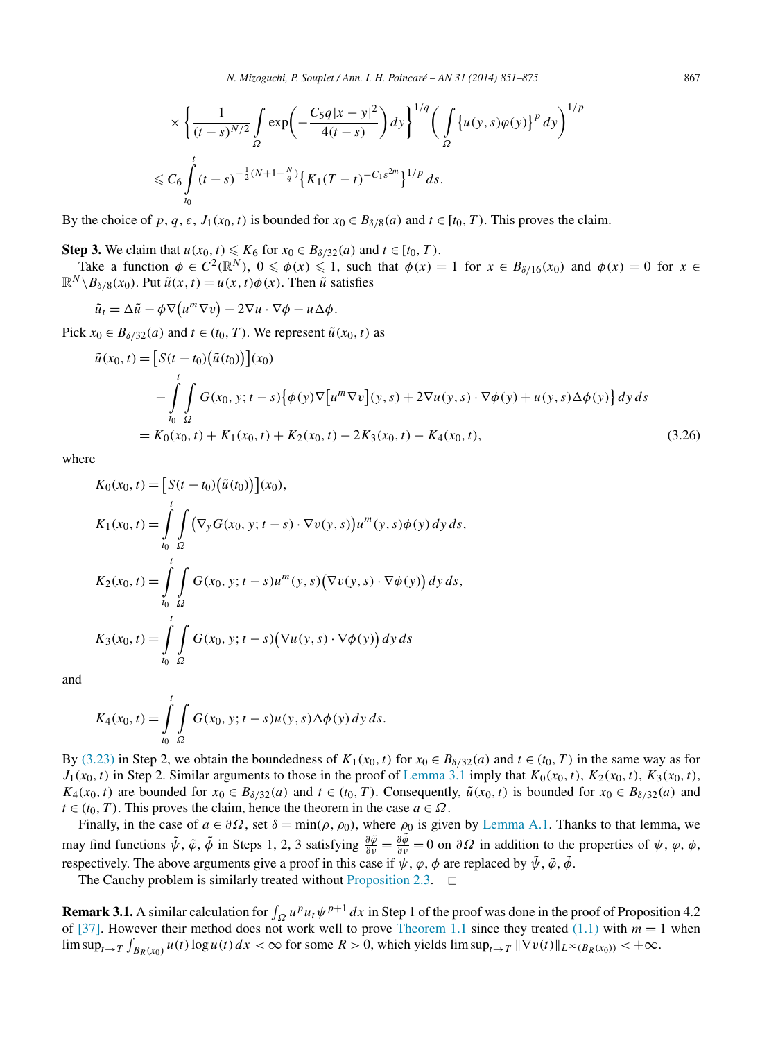$$
\times \left\{ \frac{1}{(t-s)^{N/2}} \int_{\Omega} \exp\left(-\frac{C_5 q |x-y|^2}{4(t-s)}\right) dy \right\}^{1/q} \left( \int_{\Omega} \left\{ u(y,s) \varphi(y) \right\}^p dy \right)^{1/p}
$$
  

$$
\leq C_6 \int_{t_0}^t (t-s)^{-\frac{1}{2}(N+1-\frac{N}{q})} \left\{ K_1 (T-t)^{-C_1 \varepsilon^{2m}} \right\}^{1/p} ds.
$$

By the choice of p, q,  $\varepsilon$ ,  $J_1(x_0, t)$  is bounded for  $x_0 \in B_{\delta/8}(a)$  and  $t \in [t_0, T)$ . This proves the claim.

**Step 3.** We claim that  $u(x_0, t) \le K_6$  for  $x_0 \in B_{\delta/32}(a)$  and  $t \in [t_0, T)$ .

Take a function  $\phi \in C^2(\mathbb{R}^N)$ ,  $0 \le \phi(x) \le 1$ , such that  $\phi(x) = 1$  for  $x \in B_{\delta/16}(x_0)$  and  $\phi(x) = 0$  for  $x \in B_{\delta/16}(x_0)$  $\mathbb{R}^N \setminus B_{\delta/8}(x_0)$ . Put  $\tilde{u}(x,t) = u(x,t)\phi(x)$ . Then  $\tilde{u}$  satisfies

$$
\tilde{u}_t = \Delta \tilde{u} - \phi \nabla (u^m \nabla v) - 2 \nabla u \cdot \nabla \phi - u \Delta \phi.
$$

Pick  $x_0 \in B_{\delta/32}(a)$  and  $t \in (t_0, T)$ . We represent  $\tilde{u}(x_0, t)$  as

$$
\tilde{u}(x_0, t) = \left[S(t - t_0)(\tilde{u}(t_0))\right](x_0)
$$
\n
$$
- \int_{t_0}^t \int_{\Omega} G(x_0, y; t - s) \left\{\phi(y)\nabla\left[u^m \nabla v\right](y, s) + 2\nabla u(y, s) \cdot \nabla \phi(y) + u(y, s)\Delta \phi(y)\right\} dy ds
$$
\n
$$
= K_0(x_0, t) + K_1(x_0, t) + K_2(x_0, t) - 2K_3(x_0, t) - K_4(x_0, t), \tag{3.26}
$$

where

$$
K_0(x_0, t) = [S(t - t_0)(\tilde{u}(t_0))] (x_0),
$$
  
\n
$$
K_1(x_0, t) = \int_{t_0}^t \int_{\Omega} (\nabla_y G(x_0, y; t - s) \cdot \nabla v(y, s)) u^m(y, s) \phi(y) dy ds,
$$
  
\n
$$
K_2(x_0, t) = \int_{t_0}^t \int_{\Omega} G(x_0, y; t - s) u^m(y, s) (\nabla v(y, s) \cdot \nabla \phi(y)) dy ds,
$$
  
\n
$$
K_3(x_0, t) = \int_{t_0}^t \int_{\Omega} G(x_0, y; t - s) (\nabla u(y, s) \cdot \nabla \phi(y)) dy ds
$$

and

$$
K_4(x_0, t) = \int_{t_0}^t \int_{\Omega} G(x_0, y; t - s) u(y, s) \Delta \phi(y) dy ds.
$$

By [\(3.23\)](#page-15-0) in Step 2, we obtain the boundedness of  $K_1(x_0, t)$  for  $x_0 \in B_{\delta/32}(a)$  and  $t \in (t_0, T)$  in the same way as for  $J_1(x_0, t)$  in Step 2. Similar arguments to those in the proof of [Lemma 3.1](#page-10-0) imply that  $K_0(x_0, t)$ ,  $K_2(x_0, t)$ ,  $K_3(x_0, t)$ , *K*<sub>4</sub>(*x*<sub>0</sub>*,t*) are bounded for *x*<sub>0</sub> ∈ *B*<sub> $δ/32(a)$  and *t* ∈ (*t*<sub>0</sub>*,T*). Consequently,  $\tilde{u}(x_0, t)$  is bounded for *x*<sub>0</sub> ∈ *B*<sub> $δ/32(a)$  and</sub></sub>  $t \in (t_0, T)$ . This proves the claim, hence the theorem in the case  $a \in \Omega$ .

Finally, in the case of  $a \in \partial \Omega$ , set  $\delta = \min(\rho, \rho_0)$ , where  $\rho_0$  is given by [Lemma A.1.](#page-21-0) Thanks to that lemma, we may find functions  $\tilde{\psi}$ ,  $\tilde{\varphi}$ ,  $\tilde{\phi}$  in Steps 1, 2, 3 satisfying  $\frac{\partial \tilde{\varphi}}{\partial y} = \frac{\partial \tilde{\varphi}}{\partial y} = 0$  on  $\partial \Omega$  in addition to the properties of  $\psi$ ,  $\varphi$ ,  $\phi$ , respectively. The above arguments give a proof in this case if  $\psi$ ,  $\varphi$ ,  $\phi$  are replaced by  $\tilde{\psi}$ ,  $\tilde{\varphi}$ ,  $\tilde{\phi}$ .

The Cauchy problem is similarly treated without [Proposition 2.3.](#page-6-0)  $\Box$ 

**Remark 3.1.** A similar calculation for  $\int_{\Omega} u^p u_t \psi^{p+1} dx$  in Step 1 of the proof was done in the proof of Proposition 4.2 of [\[37\].](#page-23-0) However their method does not work well to prove [Theorem 1.1](#page-1-0) since they treated  $(1.1)$  with  $m = 1$  when  $\limsup_{t\to T} \int_{B_R(x_0)} u(t) \log u(t) dx < \infty$  for some  $R > 0$ , which yields  $\limsup_{t\to T} \|\nabla v(t)\|_{L^{\infty}(B_R(x_0))} < +\infty$ .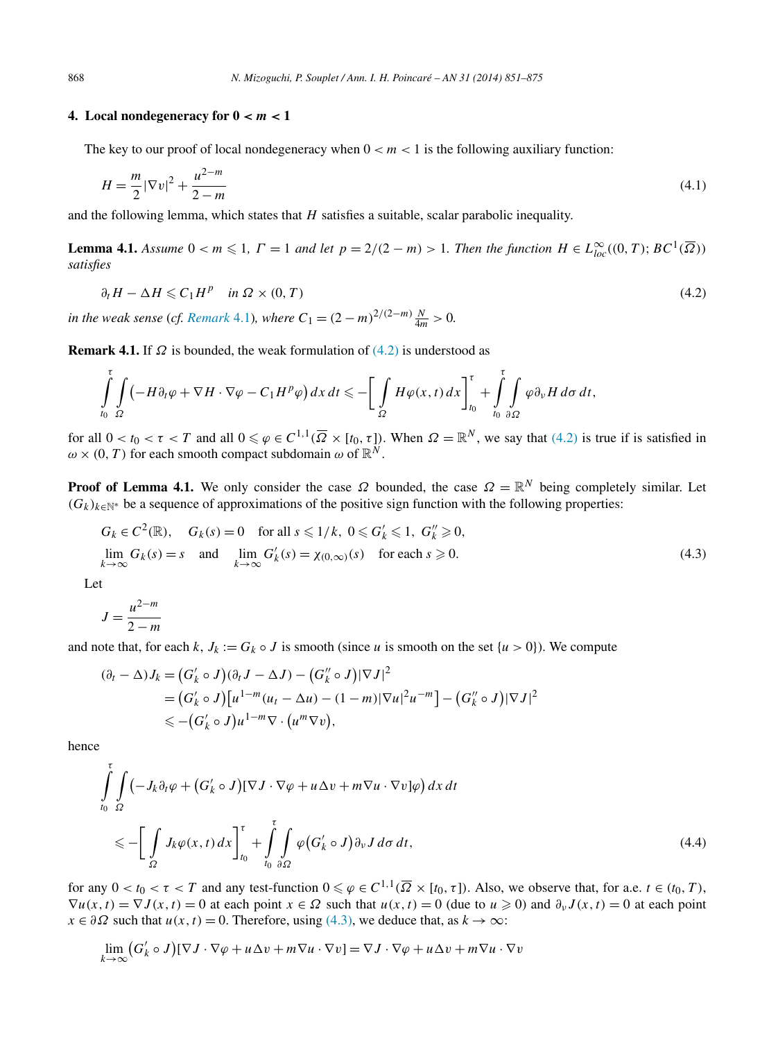# <span id="page-17-0"></span>**4.** Local nondegeneracy for  $0 < m < 1$

The key to our proof of local nondegeneracy when  $0 < m < 1$  is the following auxiliary function:

$$
H = \frac{m}{2} |\nabla v|^2 + \frac{u^{2-m}}{2-m} \tag{4.1}
$$

and the following lemma, which states that *H* satisfies a suitable, scalar parabolic inequality.

**Lemma 4.1.** *Assume*  $0 < m \leq 1$ ,  $\Gamma = 1$  *and let*  $p = 2/(2 - m) > 1$ . *Then the function*  $H \in L^{\infty}_{loc}((0, T); BC^{1}(\overline{\Omega}))$ *satisfies*

$$
\partial_t H - \Delta H \leqslant C_1 H^p \quad \text{in } \Omega \times (0, T) \tag{4.2}
$$

*in the weak sense* (*cf. Remark* 4.1)*, where*  $C_1 = (2 - m)^{2/(2-m)} \frac{N}{4m} > 0$ .

**Remark 4.1.** If  $\Omega$  is bounded, the weak formulation of  $(4.2)$  is understood as

$$
\int_{t_0}^{\tau} \int_{\Omega} \left( -H \partial_t \varphi + \nabla H \cdot \nabla \varphi - C_1 H^p \varphi \right) dx dt \leqslant - \bigg[ \int_{\Omega} H \varphi(x,t) dx \bigg]_{t_0}^{\tau} + \int_{t_0}^{\tau} \int_{\partial \Omega} \varphi \partial_{\nu} H d\sigma dt,
$$

for all  $0 < t_0 < \tau < T$  and all  $0 \le \varphi \in C^{1,1}(\overline{\Omega} \times [t_0, \tau])$ . When  $\Omega = \mathbb{R}^N$ , we say that (4.2) is true if is satisfied in  $\omega \times (0, T)$  for each smooth compact subdomain  $\omega$  of  $\mathbb{R}^N$ .

**Proof of Lemma 4.1.** We only consider the case  $\Omega$  bounded, the case  $\Omega = \mathbb{R}^N$  being completely similar. Let  $(G_k)_{k \in \mathbb{N}^*}$  be a sequence of approximations of the positive sign function with the following properties:

$$
G_k \in C^2(\mathbb{R}), \quad G_k(s) = 0 \quad \text{for all } s \leq 1/k, \ 0 \leq G'_k \leq 1, \ G''_k \geq 0,
$$
  
\n
$$
\lim_{k \to \infty} G_k(s) = s \quad \text{and} \quad \lim_{k \to \infty} G'_k(s) = \chi_{(0,\infty)}(s) \quad \text{for each } s \geq 0.
$$
\n(4.3)

Let

$$
J = \frac{u^{2-m}}{2-m}
$$

and note that, for each *k*,  $J_k := G_k \circ J$  is smooth (since *u* is smooth on the set  $\{u > 0\}$ ). We compute

$$
(\partial_t - \Delta) J_k = (G'_k \circ J)(\partial_t J - \Delta J) - (G''_k \circ J)|\nabla J|^2
$$
  
= 
$$
(G'_k \circ J)[u^{1-m}(u_t - \Delta u) - (1-m)|\nabla u|^2 u^{-m}] - (G''_k \circ J)|\nabla J|^2
$$
  

$$
\leq -(G'_k \circ J)u^{1-m}\nabla \cdot (u^m\nabla v),
$$

hence

$$
\int_{t_0}^{\tau} \int_{\Omega} \left( -J_k \partial_t \varphi + (G'_k \circ J) [\nabla J \cdot \nabla \varphi + u \Delta v + m \nabla u \cdot \nabla v] \varphi \right) dx dt
$$
\n
$$
\leqslant - \left[ \int_{\Omega} J_k \varphi(x, t) dx \right]_{t_0}^{\tau} + \int_{t_0}^{\tau} \int_{\partial \Omega} \varphi (G'_k \circ J) \partial_v J d\sigma dt, \tag{4.4}
$$

for any  $0 < t_0 < \tau < T$  and any test-function  $0 \leq \varphi \in C^{1,1}(\overline{\Omega} \times [t_0, \tau])$ . Also, we observe that, for a.e.  $t \in (t_0, T)$ ,  $\nabla u(x,t) = \nabla J(x,t) = 0$  at each point  $x \in \Omega$  such that  $u(x,t) = 0$  (due to  $u \ge 0$ ) and  $\partial_v J(x,t) = 0$  at each point  $x \in \partial \Omega$  such that  $u(x, t) = 0$ . Therefore, using (4.3), we deduce that, as  $k \to \infty$ :

$$
\lim_{k \to \infty} (G'_k \circ J)[\nabla J \cdot \nabla \varphi + u \Delta v + m \nabla u \cdot \nabla v] = \nabla J \cdot \nabla \varphi + u \Delta v + m \nabla u \cdot \nabla v
$$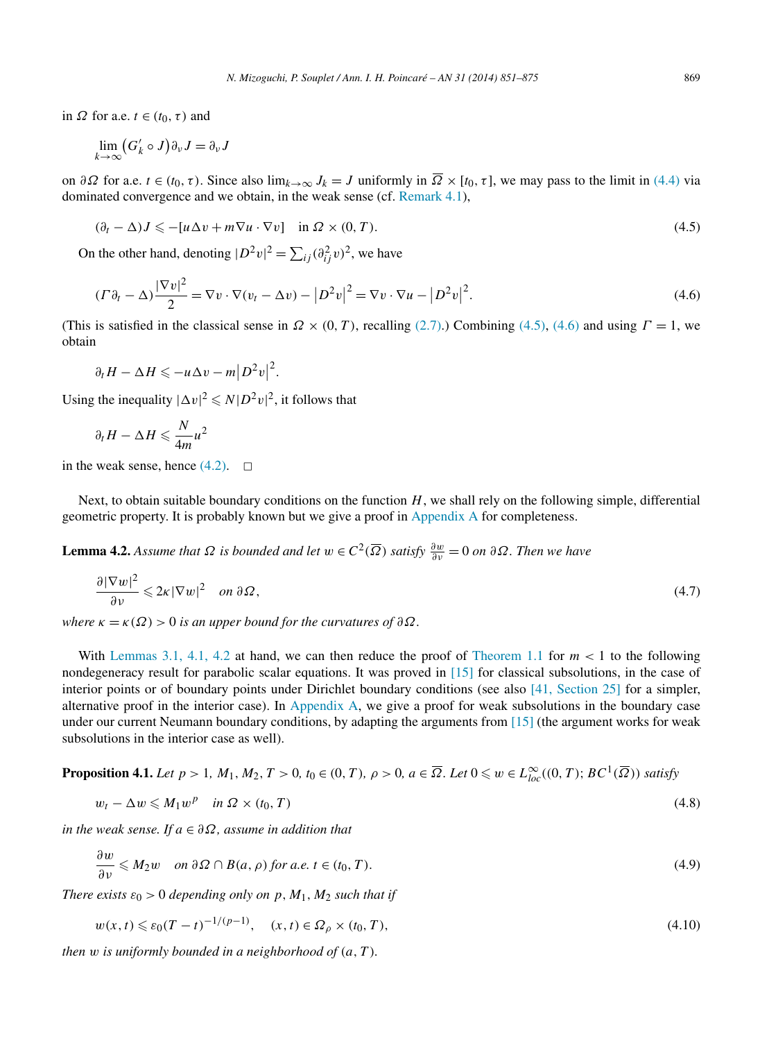<span id="page-18-0"></span>in  $\Omega$  for a.e.  $t \in (t_0, \tau)$  and

$$
\lim_{k\to\infty} \bigl(G'_k\circ J\bigr)\partial_\nu J=\partial_\nu J
$$

on  $\partial\Omega$  for a.e.  $t \in (t_0, \tau)$ . Since also lim<sub> $k \to \infty$ </sub>  $J_k = J$  uniformly in  $\overline{\Omega} \times [t_0, \tau]$ , we may pass to the limit in [\(4.4\)](#page-17-0) via dominated convergence and we obtain, in the weak sense (cf. [Remark 4.1\)](#page-17-0),

$$
(\partial_t - \Delta)J \leq -[u\Delta v + m\nabla u \cdot \nabla v] \quad \text{in } \Omega \times (0, T). \tag{4.5}
$$

On the other hand, denoting  $|D^2v|^2 = \sum_{ij} (\partial_{ij}^2 v)^2$ , we have

$$
(F\partial_t - \Delta)\frac{|\nabla v|^2}{2} = \nabla v \cdot \nabla (v_t - \Delta v) - |D^2 v|^2 = \nabla v \cdot \nabla u - |D^2 v|^2.
$$
\n(4.6)

(This is satisfied in the classical sense in  $\Omega \times (0, T)$ , recalling [\(2.7\).](#page-5-0)) Combining (4.5), (4.6) and using  $\Gamma = 1$ , we obtain

$$
\partial_t H - \Delta H \leqslant -u \Delta v - m \big| D^2 v \big|^2.
$$

Using the inequality  $|\Delta v|^2 \le N |D^2 v|^2$ , it follows that

$$
\partial_t H - \Delta H \leq \frac{N}{4m} u^2
$$

in the weak sense, hence  $(4.2)$ .  $\Box$ 

Next, to obtain suitable boundary conditions on the function *H*, we shall rely on the following simple, differential geometric property. It is probably known but we give a proof in [Appendix A](#page-20-0) for completeness.

**Lemma 4.2.** *Assume that*  $\Omega$  *is bounded and let*  $w \in C^2(\overline{\Omega})$  *satisfy*  $\frac{\partial w}{\partial v} = 0$  *on*  $\partial \Omega$ *. Then we have* 

$$
\frac{\partial |\nabla w|^2}{\partial v} \leqslant 2\kappa |\nabla w|^2 \quad on \ \partial \Omega,
$$
\n
$$
(4.7)
$$

*where*  $\kappa = \kappa(\Omega) > 0$  *is an upper bound for the curvatures of*  $\partial \Omega$ *.* 

With Lemmas [3.1, 4.1, 4.2](#page-10-0) at hand, we can then reduce the proof of [Theorem 1.1](#page-1-0) for  $m < 1$  to the following nondegeneracy result for parabolic scalar equations. It was proved in [\[15\]](#page-23-0) for classical subsolutions, in the case of interior points or of boundary points under Dirichlet boundary conditions (see also [\[41, Section 25\]](#page-24-0) for a simpler, alternative proof in the interior case). In [Appendix A,](#page-20-0) we give a proof for weak subsolutions in the boundary case under our current Neumann boundary conditions, by adapting the arguments from [\[15\]](#page-23-0) (the argument works for weak subsolutions in the interior case as well).

**Proposition 4.1.** Let 
$$
p > 1
$$
,  $M_1, M_2, T > 0$ ,  $t_0 \in (0, T)$ ,  $\rho > 0$ ,  $a \in \overline{\Omega}$ . Let  $0 \leq w \in L^{\infty}_{loc}((0, T); BC^1(\overline{\Omega}))$  satisfy

$$
w_t - \Delta w \leqslant M_1 w^p \quad \text{in } \Omega \times (t_0, T) \tag{4.8}
$$

*in the weak sense. If a* ∈ *∂Ω, assume in addition that*

$$
\frac{\partial w}{\partial \nu} \leqslant M_2 w \quad on \ \partial \Omega \cap B(a, \rho) \text{ for a.e. } t \in (t_0, T). \tag{4.9}
$$

*There exists*  $\varepsilon_0 > 0$  *depending only on*  $p, M_1, M_2$  *such that if* 

$$
w(x,t) \le \varepsilon_0 (T-t)^{-1/(p-1)}, \quad (x,t) \in \Omega_\rho \times (t_0, T), \tag{4.10}
$$

*then w is uniformly bounded in a neighborhood of (a,T ).*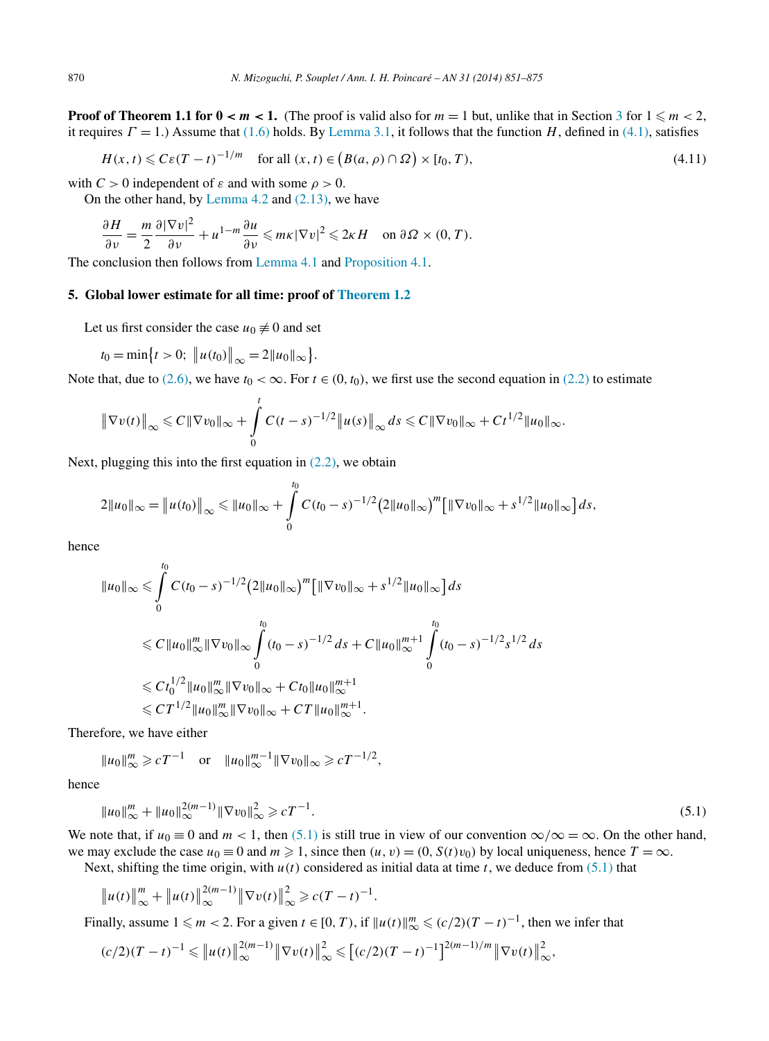**Proof of Theorem 1.1 for**  $0 < m < 1$ **.** (The proof is valid also for  $m = 1$  but, unlike that in Section [3](#page-10-0) for  $1 \le m < 2$ , it requires  $\Gamma = 1$ .) Assume that [\(1.6\)](#page-1-0) holds. By [Lemma 3.1,](#page-10-0) it follows that the function *H*, defined in [\(4.1\),](#page-17-0) satisfies

$$
H(x,t) \leqslant C\varepsilon (T-t)^{-1/m} \quad \text{for all } (x,t) \in (B(a,\rho) \cap \Omega) \times [t_0, T), \tag{4.11}
$$

with  $C > 0$  independent of  $\varepsilon$  and with some  $\rho > 0$ .

On the other hand, by [Lemma](#page-18-0) 4.2 and [\(2.13\),](#page-6-0) we have

$$
\frac{\partial H}{\partial \nu} = \frac{m}{2} \frac{\partial |\nabla v|^2}{\partial \nu} + u^{1-m} \frac{\partial u}{\partial \nu} \leqslant m\kappa |\nabla v|^2 \leqslant 2\kappa H \quad \text{on } \partial \Omega \times (0, T).
$$

The conclusion then follows from [Lemma 4.1](#page-17-0) and [Proposition 4.1.](#page-18-0)

## **5. Global lower estimate for all time: proof of [Theorem 1.2](#page-2-0)**

Let us first consider the case  $u_0 \neq 0$  and set

$$
t_0 = \min\bigl\{t > 0; \ \bigl\|u(t_0)\bigr\|_{\infty} = 2\|u_0\|_{\infty}\bigr\}.
$$

Note that, due to [\(2.6\),](#page-5-0) we have  $t_0 < \infty$ . For  $t \in (0, t_0)$ , we first use the second equation in [\(2.2\)](#page-5-0) to estimate

$$
\|\nabla v(t)\|_{\infty} \leq C\|\nabla v_0\|_{\infty} + \int_{0}^{t} C(t-s)^{-1/2} \|u(s)\|_{\infty} ds \leq C\|\nabla v_0\|_{\infty} + Ct^{1/2} \|u_0\|_{\infty}.
$$

Next, plugging this into the first equation in  $(2.2)$ , we obtain

$$
2||u_0||_{\infty} = ||u(t_0)||_{\infty} \le ||u_0||_{\infty} + \int_{0}^{t_0} C(t_0 - s)^{-1/2} (2||u_0||_{\infty})^m [||\nabla v_0||_{\infty} + s^{1/2} ||u_0||_{\infty}] ds,
$$

hence

$$
||u_0||_{\infty} \leq \int_{0}^{t_0} C(t_0 - s)^{-1/2} (2||u_0||_{\infty})^m \left[ ||\nabla v_0||_{\infty} + s^{1/2} ||u_0||_{\infty} \right] ds
$$
  
\n
$$
\leq C ||u_0||_{\infty}^m ||\nabla v_0||_{\infty} \int_{0}^{t_0} (t_0 - s)^{-1/2} ds + C ||u_0||_{\infty}^{m+1} \int_{0}^{t_0} (t_0 - s)^{-1/2} s^{1/2} ds
$$
  
\n
$$
\leq C t_0^{1/2} ||u_0||_{\infty}^m ||\nabla v_0||_{\infty} + C t_0 ||u_0||_{\infty}^{m+1}
$$
  
\n
$$
\leq C T^{1/2} ||u_0||_{\infty}^m ||\nabla v_0||_{\infty} + C T ||u_0||_{\infty}^{m+1}.
$$

Therefore, we have either

$$
||u_0||_{\infty}^m \geqslant cT^{-1}
$$
 or  $||u_0||_{\infty}^{m-1} ||\nabla v_0||_{\infty} \geqslant cT^{-1/2}$ ,

hence

$$
||u_0||_{\infty}^m + ||u_0||_{\infty}^{2(m-1)} ||\nabla v_0||_{\infty}^2 \geqslant cT^{-1}.
$$
\n(5.1)

We note that, if  $u_0 \equiv 0$  and  $m < 1$ , then (5.1) is still true in view of our convention  $\infty/\infty = \infty$ . On the other hand, we may exclude the case  $u_0 \equiv 0$  and  $m \ge 1$ , since then  $(u, v) = (0, S(t)v_0)$  by local uniqueness, hence  $T = \infty$ .

Next, shifting the time origin, with  $u(t)$  considered as initial data at time *t*, we deduce from (5.1) that

$$
\|u(t)\|_{\infty}^m + \|u(t)\|_{\infty}^{2(m-1)} \|\nabla v(t)\|_{\infty}^2 \geq c(T-t)^{-1}.
$$

Finally, assume  $1 \leq m < 2$ . For a given  $t \in [0, T)$ , if  $||u(t)||_{\infty}^{m} \leqslant (c/2)(T - t)^{-1}$ , then we infer that

$$
(c/2)(T-t)^{-1} \leq \|u(t)\|_{\infty}^{2(m-1)} \|\nabla v(t)\|_{\infty}^{2} \leq [(c/2)(T-t)^{-1}]^{2(m-1)/m} \|\nabla v(t)\|_{\infty}^{2},
$$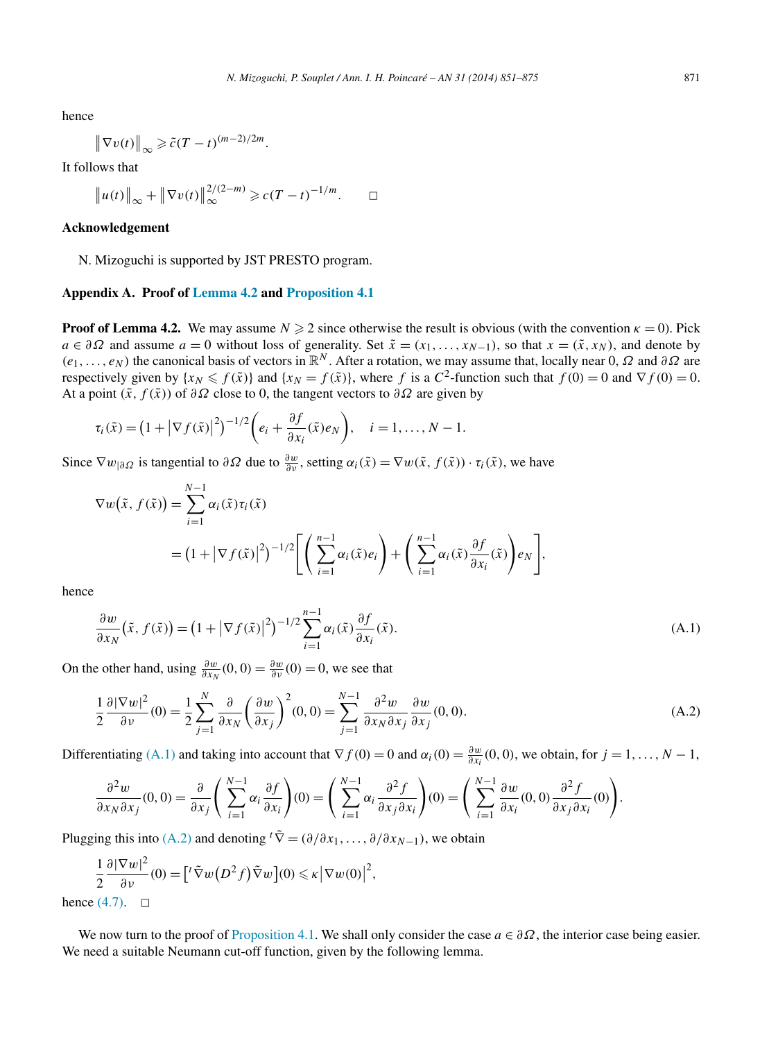<span id="page-20-0"></span>hence

$$
\left\|\nabla v(t)\right\|_{\infty} \geqslant \tilde{c}(T-t)^{(m-2)/2m}.
$$

It follows that

$$
\|u(t)\|_{\infty} + \|\nabla v(t)\|_{\infty}^{2/(2-m)} \geqslant c(T-t)^{-1/m}.\qquad \Box
$$

## **Acknowledgement**

N. Mizoguchi is supported by JST PRESTO program.

#### **Appendix A. Proof of [Lemma](#page-18-0) 4.2 and [Proposition 4.1](#page-18-0)**

**Proof of Lemma 4.2.** We may assume  $N \ge 2$  since otherwise the result is obvious (with the convention  $\kappa = 0$ ). Pick *a* ∈  $\partial \Omega$  and assume *a* = 0 without loss of generality. Set  $\tilde{x} = (x_1, \ldots, x_{N-1})$ , so that  $x = (\tilde{x}, x_N)$ , and denote by  $(e_1, \ldots, e_N)$  the canonical basis of vectors in  $\mathbb{R}^N$ . After a rotation, we may assume that, locally near 0, *Ω* and  $\partial \Omega$  are respectively given by  $\{x_N \leq f(\tilde{x})\}$  and  $\{x_N = f(\tilde{x})\}$ , where *f* is a  $C^2$ -function such that  $f(0) = 0$  and  $\nabla f(0) = 0$ . At a point  $(\tilde{x}, f(\tilde{x}))$  of  $\partial \Omega$  close to 0, the tangent vectors to  $\partial \Omega$  are given by

$$
\tau_i(\tilde{x}) = \left(1 + |\nabla f(\tilde{x})|^2\right)^{-1/2} \left(e_i + \frac{\partial f}{\partial x_i}(\tilde{x})e_N\right), \quad i = 1, \ldots, N-1.
$$

Since  $\nabla w_{|\partial \Omega}$  is tangential to  $\partial \Omega$  due to  $\frac{\partial w}{\partial \nu}$ , setting  $\alpha_i(\tilde{x}) = \nabla w(\tilde{x}, f(\tilde{x})) \cdot \tau_i(\tilde{x})$ , we have

$$
\nabla w(\tilde{x}, f(\tilde{x})) = \sum_{i=1}^{N-1} \alpha_i(\tilde{x}) \tau_i(\tilde{x})
$$
  
=  $(1 + |\nabla f(\tilde{x})|^2)^{-1/2} \Biggl[ \Biggl( \sum_{i=1}^{n-1} \alpha_i(\tilde{x}) e_i \Biggr) + \Biggl( \sum_{i=1}^{n-1} \alpha_i(\tilde{x}) \frac{\partial f}{\partial x_i}(\tilde{x}) \Biggr) e_N \Biggr],$ 

hence

$$
\frac{\partial w}{\partial x_N}(\tilde{x}, f(\tilde{x})) = \left(1 + |\nabla f(\tilde{x})|^2\right)^{-1/2} \sum_{i=1}^{n-1} \alpha_i(\tilde{x}) \frac{\partial f}{\partial x_i}(\tilde{x}).
$$
\n(A.1)

On the other hand, using  $\frac{\partial w}{\partial x_N}(0,0) = \frac{\partial w}{\partial y}(0) = 0$ , we see that

$$
\frac{1}{2}\frac{\partial |\nabla w|^2}{\partial v}(0) = \frac{1}{2}\sum_{j=1}^N \frac{\partial}{\partial x_N} \left(\frac{\partial w}{\partial x_j}\right)^2(0,0) = \sum_{j=1}^{N-1} \frac{\partial^2 w}{\partial x_N \partial x_j} \frac{\partial w}{\partial x_j}(0,0).
$$
 (A.2)

Differentiating (A.1) and taking into account that  $\nabla f(0) = 0$  and  $\alpha_i(0) = \frac{\partial w}{\partial x_i}(0,0)$ , we obtain, for  $j = 1, ..., N - 1$ ,

$$
\frac{\partial^2 w}{\partial x_N \partial x_j}(0,0) = \frac{\partial}{\partial x_j} \left( \sum_{i=1}^{N-1} \alpha_i \frac{\partial f}{\partial x_i} \right)(0) = \left( \sum_{i=1}^{N-1} \alpha_i \frac{\partial^2 f}{\partial x_j \partial x_i} \right)(0) = \left( \sum_{i=1}^{N-1} \frac{\partial w}{\partial x_i}(0,0) \frac{\partial^2 f}{\partial x_j \partial x_i}(0) \right).
$$

Plugging this into (A.2) and denoting  ${}^{t}\tilde{\nabla} = (\partial/\partial x_1, \ldots, \partial/\partial x_{N-1})$ , we obtain

$$
\frac{1}{2} \frac{\partial |\nabla w|^2}{\partial v}(0) = [{}^t \tilde{\nabla} w(D^2 f) \tilde{\nabla} w](0) \leq \kappa |\nabla w(0)|^2,
$$

hence  $(4.7)$ .  $\square$ 

We now turn to the proof of [Proposition](#page-18-0) 4.1. We shall only consider the case  $a \in \partial \Omega$ , the interior case being easier. We need a suitable Neumann cut-off function, given by the following lemma.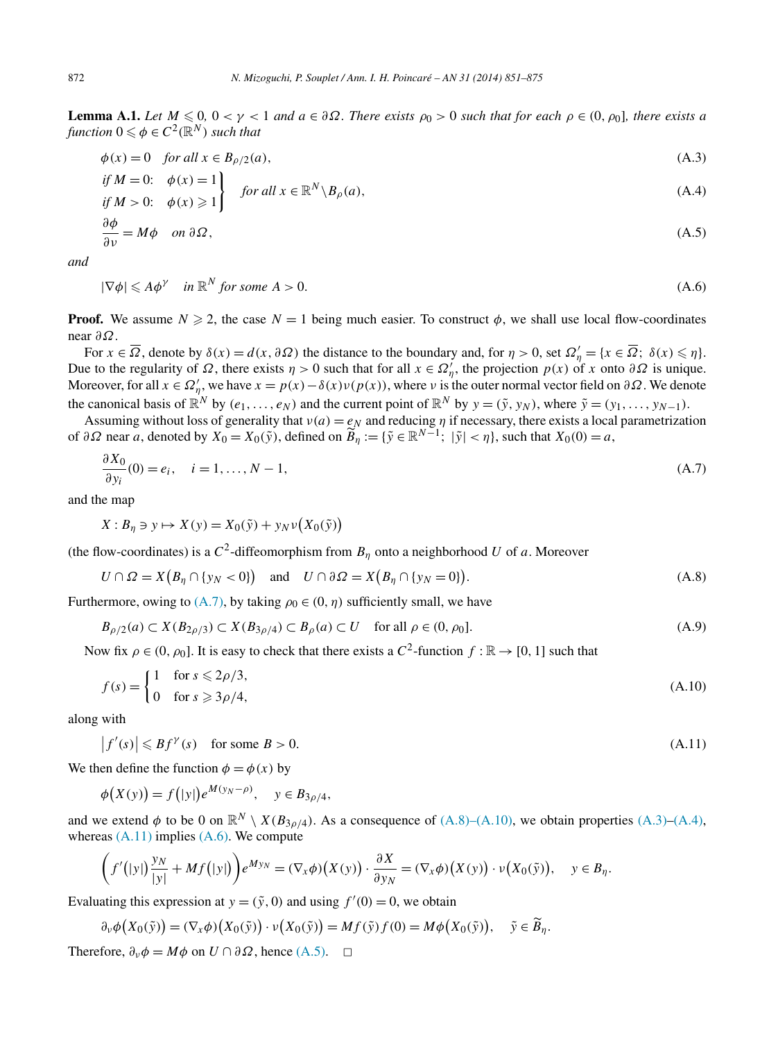<span id="page-21-0"></span>**Lemma A.1.** *Let*  $M \leq 0$ ,  $0 < \gamma < 1$  *and*  $a \in \partial \Omega$ *. There exists*  $\rho_0 > 0$  *such that for each*  $\rho \in (0, \rho_0]$ *, there exists* a *function*  $0 \le \phi \in C^2(\mathbb{R}^N)$  *such that* 

$$
\phi(x) = 0 \quad \text{for all } x \in B_{\rho/2}(a),\tag{A.3}
$$

if 
$$
M = 0
$$
:  $\phi(x) = 1$   
if  $M > 0$ :  $\phi(x) \ge 1$  for all  $x \in \mathbb{R}^N \setminus B_\rho(a)$ ,  $(A.4)$ 

$$
\frac{\partial \phi}{\partial \nu} = M\phi \quad on \ \partial \Omega, \tag{A.5}
$$

*and*

$$
|\nabla \phi| \leqslant A\phi^{\gamma} \quad \text{in } \mathbb{R}^N \text{ for some } A > 0. \tag{A.6}
$$

**Proof.** We assume  $N \ge 2$ , the case  $N = 1$  being much easier. To construct  $\phi$ , we shall use local flow-coordinates near *∂Ω*.

For  $x \in \overline{\Omega}$ , denote by  $\delta(x) = d(x, \partial \Omega)$  the distance to the boundary and, for  $\eta > 0$ , set  $\Omega'_{\eta} = \{x \in \overline{\Omega}; \ \delta(x) \leq \eta\}$ . Due to the regularity of *Ω*, there exists *η* > 0 such that for all *x* ∈  $Ω'_{\eta}$ , the projection *p*(*x*) of *x* onto  $∂Ω$  is unique. Moreover, for all  $x \in \Omega'_\eta$ , we have  $x = p(x) - \delta(x)v(p(x))$ , where *v* is the outer normal vector field on  $\partial\Omega$ . We denote the canonical basis of  $\mathbb{R}^N$  by  $(e_1, \ldots, e_N)$  and the current point of  $\mathbb{R}^N$  by  $y = (\tilde{y}, y_N)$ , where  $\tilde{y} = (y_1, \ldots, y_{N-1})$ .

Assuming without loss of generality that  $v(a) = e_N$  and reducing  $\eta$  if necessary, there exists a local parametrization of  $\partial \Omega$  near *a*, denoted by  $X_0 = X_0(\tilde{y})$ , defined on  $\widetilde{B}_\eta := {\{\tilde{y} \in \mathbb{R}^{N-1}; \ |\tilde{y}| < \eta\}}$ , such that  $X_0(0) = a$ ,

$$
\frac{\partial X_0}{\partial y_i}(0) = e_i, \quad i = 1, \dots, N - 1,
$$
\n(A.7)

and the map

$$
X: B_{\eta} \ni y \mapsto X(y) = X_0(\tilde{y}) + y_N \nu(X_0(\tilde{y}))
$$

(the flow-coordinates) is a  $C^2$ -diffeomorphism from  $B_\eta$  onto a neighborhood *U* of *a*. Moreover

$$
U \cap \Omega = X(B_{\eta} \cap \{y_N < 0\}) \quad \text{and} \quad U \cap \partial \Omega = X(B_{\eta} \cap \{y_N = 0\}). \tag{A.8}
$$

Furthermore, owing to  $(A.7)$ , by taking  $\rho_0 \in (0, \eta)$  sufficiently small, we have

$$
B_{\rho/2}(a) \subset X(B_{2\rho/3}) \subset X(B_{3\rho/4}) \subset B_{\rho}(a) \subset U \quad \text{for all } \rho \in (0, \rho_0].
$$
 (A.9)

Now fix  $\rho \in (0, \rho_0]$ . It is easy to check that there exists a  $C^2$ -function  $f : \mathbb{R} \to [0, 1]$  such that

$$
f(s) = \begin{cases} 1 & \text{for } s \leqslant 2\rho/3, \\ 0 & \text{for } s \geqslant 3\rho/4, \end{cases} \tag{A.10}
$$

along with

$$
\left|f'(s)\right| \leqslant Bf^{\gamma}(s) \quad \text{for some } B > 0. \tag{A.11}
$$

We then define the function  $\phi = \phi(x)$  by

$$
\phi(X(y)) = f(|y|)e^{M(y_N - \rho)}, \quad y \in B_{3\rho/4},
$$

and we extend  $\phi$  to be 0 on  $\mathbb{R}^N \setminus X(B_{3\rho/4})$ . As a consequence of (A.8)–(A.10), we obtain properties (A.3)–(A.4), whereas  $(A.11)$  implies  $(A.6)$ . We compute

$$
\left(f'(|y|)\frac{y_N}{|y|} + Mf(|y|)\right)e^{My_N} = (\nabla_x \phi)\left(X(y)\right) \cdot \frac{\partial X}{\partial y_N} = (\nabla_x \phi)\left(X(y)\right) \cdot \nu\left(X_0(\tilde{y})\right), \quad y \in B_\eta.
$$

Evaluating this expression at  $y = (\tilde{y}, 0)$  and using  $f'(0) = 0$ , we obtain

$$
\partial_{\nu}\phi\big(X_0(\tilde{y})\big)=(\nabla_x\phi)\big(X_0(\tilde{y})\big)\cdot\nu\big(X_0(\tilde{y})\big)=Mf(\tilde{y})f(0)=M\phi\big(X_0(\tilde{y})\big),\quad \tilde{y}\in\widetilde{B}_{\eta}.
$$

Therefore,  $\partial_{\nu}\phi = M\phi$  on  $U \cap \partial \Omega$ , hence (A.5).  $\Box$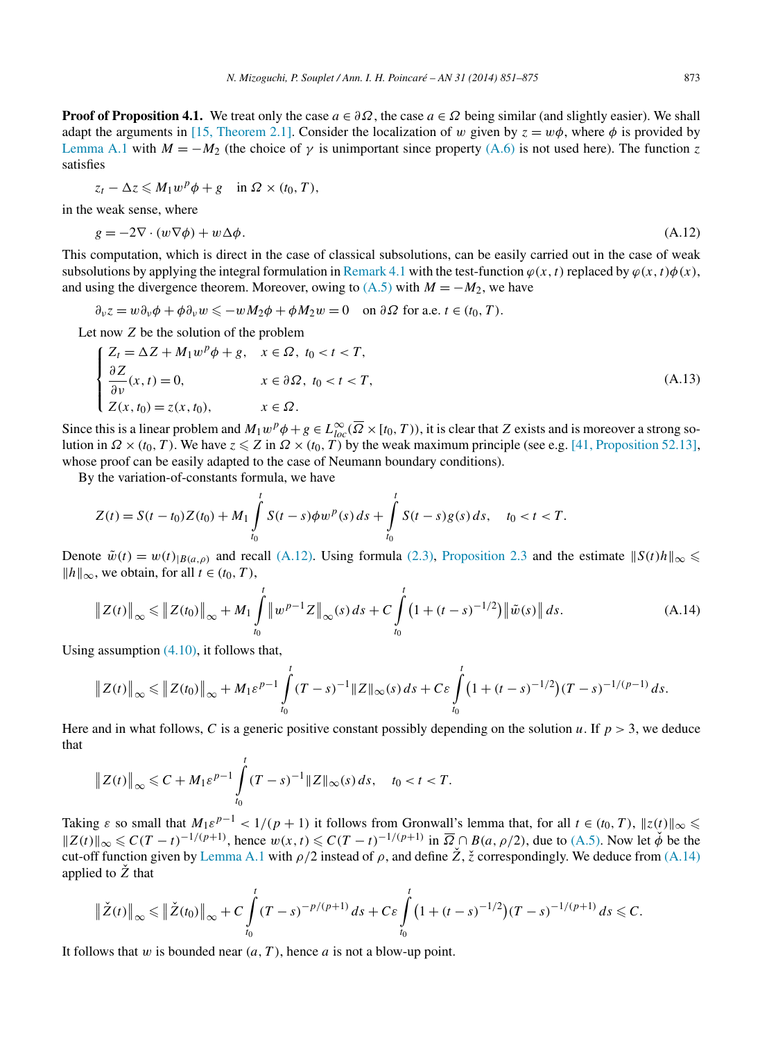**Proof of Proposition 4.1.** We treat only the case  $a \in \partial \Omega$ , the case  $a \in \Omega$  being similar (and slightly easier). We shall adapt the arguments in [\[15, Theorem 2.1\].](#page-23-0) Consider the localization of *w* given by  $z = w\phi$ , where  $\phi$  is provided by [Lemma A.1](#page-21-0) with  $M = -M_2$  (the choice of  $\gamma$  is unimportant since property [\(A.6\)](#page-21-0) is not used here). The function *z* satisfies

$$
z_t - \Delta z \leqslant M_1 w^p \phi + g \quad \text{in } \Omega \times (t_0, T),
$$

in the weak sense, where

$$
g = -2\nabla \cdot (w\nabla \phi) + w\Delta \phi. \tag{A.12}
$$

This computation, which is direct in the case of classical subsolutions, can be easily carried out in the case of weak subsolutions by applying the integral formulation in [Remark 4.1](#page-17-0) with the test-function  $\varphi(x, t)$  replaced by  $\varphi(x, t)\varphi(x)$ , and using the divergence theorem. Moreover, owing to  $(A.5)$  with  $M = -M_2$ , we have

 $\partial_{\nu} z = w \partial_{\nu} \phi + \phi \partial_{\nu} w \leq -w M_2 \phi + \phi M_2 w = 0$  on  $\partial \Omega$  for a.e.  $t \in (t_0, T)$ .

Let now *Z* be the solution of the problem

$$
\begin{cases}\nZ_t = \Delta Z + M_1 w^p \phi + g, & x \in \Omega, \ t_0 < t < T, \\
\frac{\partial Z}{\partial \nu}(x, t) = 0, & x \in \partial \Omega, \ t_0 < t < T, \\
Z(x, t_0) = z(x, t_0), & x \in \Omega.\n\end{cases} \tag{A.13}
$$

Since this is a linear problem and  $M_1w^p\phi + g \in L^{\infty}_{loc}(\overline{\Omega} \times [t_0, T))$ , it is clear that *Z* exists and is moreover a strong solution in *Ω* ×*(t*0*,T)*. We have *z Z* in *Ω* ×*(t*0*,T)* by the weak maximum principle (see e.g. [\[41, Proposition 52.13\],](#page-24-0) whose proof can be easily adapted to the case of Neumann boundary conditions).

By the variation-of-constants formula, we have

$$
Z(t) = S(t-t_0)Z(t_0) + M_1 \int_{t_0}^t S(t-s)\phi w^p(s) ds + \int_{t_0}^t S(t-s)g(s) ds, \quad t_0 < t < T.
$$

Denote  $\tilde{w}(t) = w(t)_{|B(a,\rho)}$  and recall (A.12). Using formula [\(2.3\),](#page-5-0) [Proposition 2.3](#page-6-0) and the estimate  $||S(t)h||_{\infty} \leq$  $||h||_{\infty}$ , we obtain, for all *t* ∈ *(t*<sub>0</sub>, *T*),

$$
\|Z(t)\|_{\infty} \le \|Z(t_0)\|_{\infty} + M_1 \int_{t_0}^t \|w^{p-1}Z\|_{\infty}(s) ds + C \int_{t_0}^t \left(1 + (t-s)^{-1/2}\right) \|\tilde{w}(s)\| ds.
$$
 (A.14)

Using assumption [\(4.10\),](#page-18-0) it follows that,

$$
\|Z(t)\|_{\infty} \leq \|Z(t_0)\|_{\infty} + M_1 \varepsilon^{p-1} \int_{t_0}^t (T-s)^{-1} \|Z\|_{\infty}(s) \, ds + C \varepsilon \int_{t_0}^t \big(1 + (t-s)^{-1/2}\big) (T-s)^{-1/(p-1)} \, ds.
$$

Here and in what follows, *C* is a generic positive constant possibly depending on the solution *u*. If  $p > 3$ , we deduce that

$$
\|Z(t)\|_{\infty} \leq C + M_1 \varepsilon^{p-1} \int\limits_{t_0}^t (T-s)^{-1} \|Z\|_{\infty}(s) \, ds, \quad t_0 < t < T.
$$

*t*

Taking  $\varepsilon$  so small that  $M_1 \varepsilon^{p-1} < 1/(p+1)$  it follows from Gronwall's lemma that, for all  $t \in (t_0, T)$ ,  $||z(t)||_{\infty} \leq$  $\|Z(t)\|_{\infty} \le C(T-t)^{-1/(p+1)}$ , hence  $w(x,t) \le C(T-t)^{-1/(p+1)}$  in  $\overline{\Omega} \cap B(a,\rho/2)$ , due to [\(A.5\).](#page-21-0) Now let  $\check{\phi}$  be the cut-off function given by [Lemma A.1](#page-21-0) with  $\rho/2$  instead of  $\rho$ , and define  $\check{Z}$ ,  $\check{z}$  correspondingly. We deduce from (A.14) applied to  $\dot{Z}$  that

$$
\|\check{Z}(t)\|_{\infty} \leq \|\check{Z}(t_0)\|_{\infty} + C \int\limits_{t_0}^t (T-s)^{-p/(p+1)} \, ds + C \varepsilon \int\limits_{t_0}^t \big(1 + (t-s)^{-1/2}\big) (T-s)^{-1/(p+1)} \, ds \leq C.
$$

It follows that *w* is bounded near *(a,T )*, hence *a* is not a blow-up point.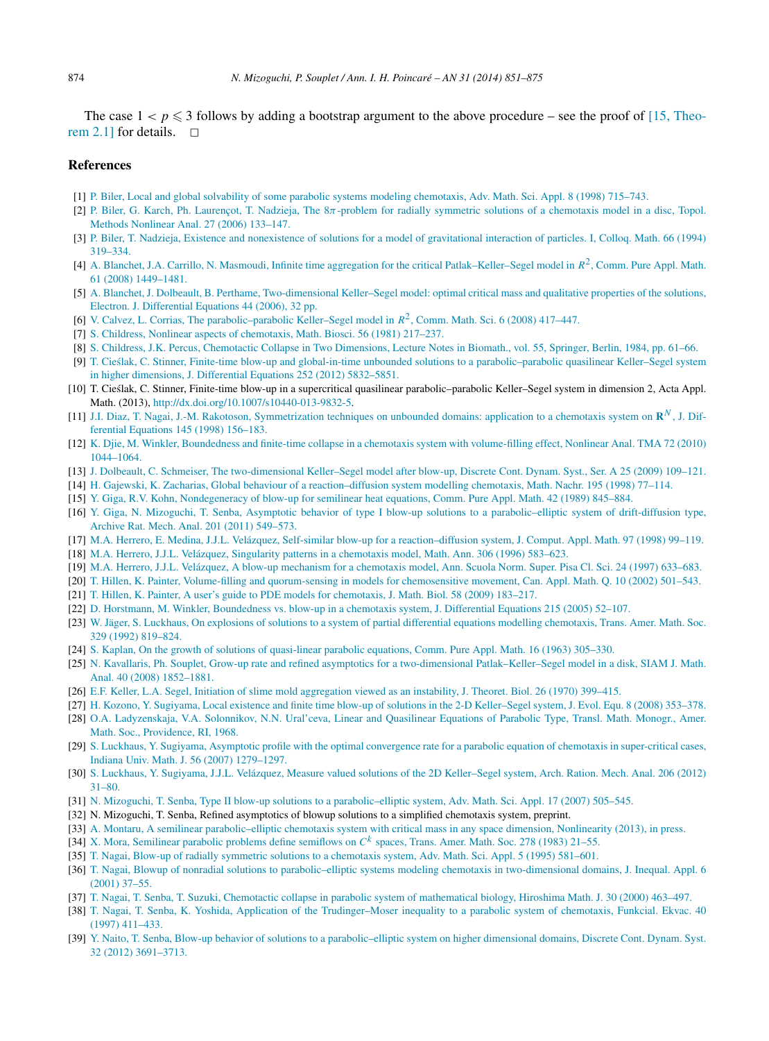<span id="page-23-0"></span>The case  $1 < p \leq 3$  follows by adding a bootstrap argument to the above procedure – see the proof of [15, Theorem 2.1] for details.  $\Box$ 

# **References**

- [1] [P. Biler, Local and global solvability of some parabolic systems modeling chemotaxis, Adv. Math. Sci. Appl. 8 \(1998\) 715–743.](http://refhub.elsevier.com/S0294-1449(13)00090-5/bib4269s1)
- [2] P. Biler, G. Karch, Ph. Laurençot, T. Nadzieja, The 8*π*[-problem for radially symmetric solutions of a chemotaxis model in a disc, Topol.](http://refhub.elsevier.com/S0294-1449(13)00090-5/bib424B4C4Es1) [Methods Nonlinear Anal. 27 \(2006\) 133–147.](http://refhub.elsevier.com/S0294-1449(13)00090-5/bib424B4C4Es1)
- [3] [P. Biler, T. Nadzieja, Existence and nonexistence of solutions for a model of gravitational interaction of particles. I, Colloq. Math. 66 \(1994\)](http://refhub.elsevier.com/S0294-1449(13)00090-5/bib424Es1) [319–334.](http://refhub.elsevier.com/S0294-1449(13)00090-5/bib424Es1)
- [4] A. [Blanchet, J.A. Carrillo, N. Masmoudi, Infinite time aggregation for the critical Patlak–Keller–Segel model in](http://refhub.elsevier.com/S0294-1449(13)00090-5/bib42434Ds1) *R*2, Comm. Pure Appl. Math. [61 \(2008\) 1449–1481.](http://refhub.elsevier.com/S0294-1449(13)00090-5/bib42434Ds1)
- [5] A. [Blanchet, J. Dolbeault, B. Perthame, Two-dimensional Keller–Segel model: optimal critical mass and qualitative properties of the solutions,](http://refhub.elsevier.com/S0294-1449(13)00090-5/bib424450s1) [Electron. J. Differential Equations 44 \(2006\), 32 pp.](http://refhub.elsevier.com/S0294-1449(13)00090-5/bib424450s1)
- [6] [V. Calvez, L. Corrias, The parabolic–parabolic Keller–Segel model in](http://refhub.elsevier.com/S0294-1449(13)00090-5/bib4343s1) *R*2, Comm. Math. Sci. 6 (2008) 417–447.
- [7] S. [Childress, Nonlinear aspects of chemotaxis, Math. Biosci. 56 \(1981\) 217–237.](http://refhub.elsevier.com/S0294-1449(13)00090-5/bib436831s1)
- [8] S. [Childress, J.K. Percus, Chemotactic Collapse in Two Dimensions, Lecture Notes in Biomath., vol. 55, Springer, Berlin, 1984, pp. 61–66.](http://refhub.elsevier.com/S0294-1449(13)00090-5/bib436832s1)
- [9] T. [Cieslak, C. Stinner, Finite-time blow-up and global-in-time unbounded solutions to a parabolic–parabolic quasilinear Keller–Segel system](http://refhub.elsevier.com/S0294-1449(13)00090-5/bib435331s1) ´ [in higher dimensions, J. Differential Equations 252 \(2012\) 5832–5851.](http://refhub.elsevier.com/S0294-1449(13)00090-5/bib435331s1)
- [10] T. Cieslak, C. Stinner, Finite-time blow-up in a supercritical quasilinear parabolic–parabolic Keller–Segel system in dimension 2, Acta Appl. Math. (2013), <http://dx.doi.org/10.1007/s10440-013-9832-5>.
- [11] J.I. [Diaz, T. Nagai, J.-M. Rakotoson, Symmetrization techniques on unbounded domains: application to a chemotaxis system on](http://refhub.elsevier.com/S0294-1449(13)00090-5/bib444E52s1) **R***<sup>N</sup>* , J. Dif[ferential Equations 145 \(1998\) 156–183.](http://refhub.elsevier.com/S0294-1449(13)00090-5/bib444E52s1)
- [12] K. [Djie, M. Winkler, Boundedness and finite-time collapse in a chemotaxis system with volume-filling effect, Nonlinear Anal. TMA 72 \(2010\)](http://refhub.elsevier.com/S0294-1449(13)00090-5/bib4457s1) [1044–1064.](http://refhub.elsevier.com/S0294-1449(13)00090-5/bib4457s1)
- [13] J. [Dolbeault, C. Schmeiser, The two-dimensional Keller–Segel model after blow-up, Discrete Cont. Dynam. Syst., Ser. A 25 \(2009\) 109–121.](http://refhub.elsevier.com/S0294-1449(13)00090-5/bib4453s1)
- [14] H. [Gajewski, K. Zacharias, Global behaviour of a reaction–diffusion system modelling chemotaxis, Math. Nachr. 195 \(1998\) 77–114.](http://refhub.elsevier.com/S0294-1449(13)00090-5/bib475As1)
- [15] [Y. Giga, R.V. Kohn, Nondegeneracy of blow-up for semilinear heat equations, Comm. Pure Appl. Math. 42 \(1989\) 845–884.](http://refhub.elsevier.com/S0294-1449(13)00090-5/bib474B3839s1)
- [16] [Y. Giga, N. Mizoguchi, T. Senba, Asymptotic behavior of type I blow-up solutions to a parabolic–elliptic system of drift-diffusion type,](http://refhub.elsevier.com/S0294-1449(13)00090-5/bib474D53s1) [Archive Rat. Mech. Anal. 201 \(2011\) 549–573.](http://refhub.elsevier.com/S0294-1449(13)00090-5/bib474D53s1)
- [17] M.A. [Herrero, E. Medina, J.J.L. Velázquez, Self-similar blow-up for a reaction–diffusion system, J. Comput. Appl. Math. 97 \(1998\) 99–119.](http://refhub.elsevier.com/S0294-1449(13)00090-5/bib484D5632s1)
- [18] M.A. [Herrero, J.J.L. Velázquez, Singularity patterns in a chemotaxis model, Math. Ann. 306 \(1996\) 583–623.](http://refhub.elsevier.com/S0294-1449(13)00090-5/bib48566D617468616E6Es1)
- [19] M.A. [Herrero, J.J.L. Velázquez, A blow-up mechanism for a chemotaxis model, Ann. Scuola Norm. Super. Pisa Cl. Sci. 24 \(1997\) 633–683.](http://refhub.elsevier.com/S0294-1449(13)00090-5/bib485670697361s1)
- [20] [T. Hillen, K. Painter, Volume-filling and quorum-sensing in models for chemosensitive movement, Can. Appl. Math. Q. 10 \(2002\) 501–543.](http://refhub.elsevier.com/S0294-1449(13)00090-5/bib4850s1)
- [21] [T. Hillen, K. Painter, A user's guide to PDE models for chemotaxis, J. Math. Biol. 58 \(2009\) 183–217.](http://refhub.elsevier.com/S0294-1449(13)00090-5/bib485032s1)
- [22] D. [Horstmann, M. Winkler, Boundedness vs. blow-up in a chemotaxis system, J. Differential Equations 215 \(2005\) 52–107.](http://refhub.elsevier.com/S0294-1449(13)00090-5/bib48573035s1)
- [23] [W. Jäger, S. Luckhaus, On explosions of solutions to a system of partial differential equations modelling chemotaxis, Trans. Amer. Math. Soc.](http://refhub.elsevier.com/S0294-1449(13)00090-5/bib4A4Cs1) [329 \(1992\) 819–824.](http://refhub.elsevier.com/S0294-1449(13)00090-5/bib4A4Cs1)
- [24] S. [Kaplan, On the growth of solutions of quasi-linear parabolic equations, Comm. Pure Appl. Math. 16 \(1963\) 305–330.](http://refhub.elsevier.com/S0294-1449(13)00090-5/bib4B61s1)
- [25] N. [Kavallaris, Ph. Souplet, Grow-up rate and refined asymptotics for a two-dimensional Patlak–Keller–Segel model in a disk, SIAM J. Math.](http://refhub.elsevier.com/S0294-1449(13)00090-5/bib4B61536Fs1) [Anal. 40 \(2008\) 1852–1881.](http://refhub.elsevier.com/S0294-1449(13)00090-5/bib4B61536Fs1)
- [26] [E.F. Keller, L.A. Segel, Initiation of slime mold aggregation viewed as an instability, J. Theoret. Biol. 26 \(1970\) 399–415.](http://refhub.elsevier.com/S0294-1449(13)00090-5/bib4B53s1)
- [27] H. [Kozono, Y. Sugiyama, Local existence and finite time blow-up of solutions in the 2-D Keller–Segel system, J. Evol. Equ. 8 \(2008\) 353–378.](http://refhub.elsevier.com/S0294-1449(13)00090-5/bib4B6F5375s1) [28] O.A. [Ladyzenskaja, V.A. Solonnikov, N.N. Ural'ceva, Linear and Quasilinear Equations of Parabolic Type, Transl. Math. Monogr., Amer.](http://refhub.elsevier.com/S0294-1449(13)00090-5/bib4C5355s1)
- [Math. Soc., Providence, RI, 1968.](http://refhub.elsevier.com/S0294-1449(13)00090-5/bib4C5355s1) [29] S. [Luckhaus, Y. Sugiyama, Asymptotic profile with the optimal convergence rate for a parabolic equation of chemotaxis in super-critical cases,](http://refhub.elsevier.com/S0294-1449(13)00090-5/bib4C53s1) [Indiana Univ. Math. J. 56 \(2007\) 1279–1297.](http://refhub.elsevier.com/S0294-1449(13)00090-5/bib4C53s1)
- [30] S. [Luckhaus, Y. Sugiyama, J.J.L. Velázquez, Measure valued solutions of the 2D Keller–Segel system, Arch. Ration. Mech. Anal. 206 \(2012\)](http://refhub.elsevier.com/S0294-1449(13)00090-5/bib4C5356s1) [31–80.](http://refhub.elsevier.com/S0294-1449(13)00090-5/bib4C5356s1)
- [31] N. [Mizoguchi, T. Senba, Type II blow-up solutions to a parabolic–elliptic system, Adv. Math. Sci. Appl. 17 \(2007\) 505–545.](http://refhub.elsevier.com/S0294-1449(13)00090-5/bib4D5365s1)
- [32] N. Mizoguchi, T. Senba, Refined asymptotics of blowup solutions to a simplified chemotaxis system, preprint.
- [33] A. [Montaru, A semilinear parabolic–elliptic chemotaxis system with critical mass in any space dimension, Nonlinearity \(2013\), in press.](http://refhub.elsevier.com/S0294-1449(13)00090-5/bib4D6F6Es1)
- [34] X. [Mora, Semilinear parabolic problems define semiflows on](http://refhub.elsevier.com/S0294-1449(13)00090-5/bib4D6F72613A54414D53323738s1) *C<sup>k</sup>* spaces, Trans. Amer. Math. Soc. 278 (1983) 21–55.
- [35] [T. Nagai, Blow-up of radially symmetric solutions to a chemotaxis system, Adv. Math. Sci. Appl. 5 \(1995\) 581–601.](http://refhub.elsevier.com/S0294-1449(13)00090-5/bib4E61676169s1)
- [36] [T. Nagai, Blowup of nonradial solutions to parabolic–elliptic systems modeling chemotaxis in two-dimensional domains, J. Inequal. Appl. 6](http://refhub.elsevier.com/S0294-1449(13)00090-5/bib4E6167616932s1) [\(2001\) 37–55.](http://refhub.elsevier.com/S0294-1449(13)00090-5/bib4E6167616932s1)
- [37] [T. Nagai, T. Senba, T. Suzuki, Chemotactic collapse in parabolic system of mathematical biology, Hiroshima Math. J. 30 \(2000\) 463–497.](http://refhub.elsevier.com/S0294-1449(13)00090-5/bib4E5353s1)
- [38] [T. Nagai, T. Senba, K. Yoshida, Application of the Trudinger–Moser inequality to a parabolic system of chemotaxis, Funkcial. Ekvac. 40](http://refhub.elsevier.com/S0294-1449(13)00090-5/bib4E5359s1) [\(1997\) 411–433.](http://refhub.elsevier.com/S0294-1449(13)00090-5/bib4E5359s1)
- [39] [Y. Naito, T. Senba, Blow-up behavior of solutions to a parabolic–elliptic system on higher dimensional domains, Discrete Cont. Dynam. Syst.](http://refhub.elsevier.com/S0294-1449(13)00090-5/bib4E615365s1) [32 \(2012\) 3691–3713.](http://refhub.elsevier.com/S0294-1449(13)00090-5/bib4E615365s1)